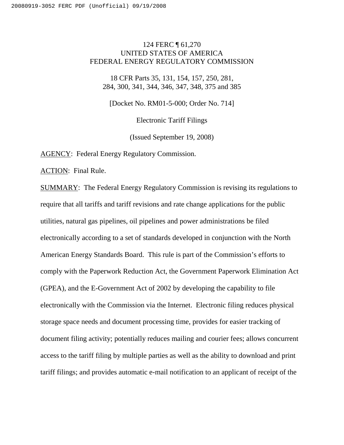# 124 FERC ¶ 61,270 UNITED STATES OF AMERICA FEDERAL ENERGY REGULATORY COMMISSION

18 CFR Parts 35, 131, 154, 157, 250, 281, 284, 300, 341, 344, 346, 347, 348, 375 and 385

[Docket No. RM01-5-000; Order No. 714]

Electronic Tariff Filings

(Issued September 19, 2008)

AGENCY: Federal Energy Regulatory Commission.

ACTION: Final Rule.

SUMMARY: The Federal Energy Regulatory Commission is revising its regulations to require that all tariffs and tariff revisions and rate change applications for the public utilities, natural gas pipelines, oil pipelines and power administrations be filed electronically according to a set of standards developed in conjunction with the North American Energy Standards Board. This rule is part of the Commission's efforts to comply with the Paperwork Reduction Act, the Government Paperwork Elimination Act (GPEA), and the E-Government Act of 2002 by developing the capability to file electronically with the Commission via the Internet. Electronic filing reduces physical storage space needs and document processing time, provides for easier tracking of document filing activity; potentially reduces mailing and courier fees; allows concurrent access to the tariff filing by multiple parties as well as the ability to download and print tariff filings; and provides automatic e-mail notification to an applicant of receipt of the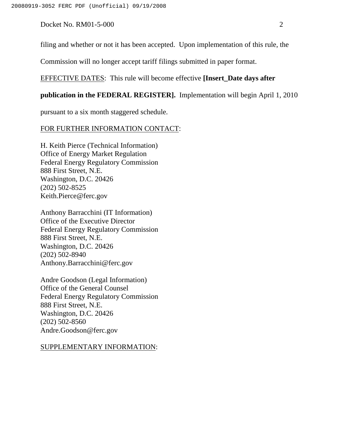filing and whether or not it has been accepted. Upon implementation of this rule, the

Commission will no longer accept tariff filings submitted in paper format.

## EFFECTIVE DATES: This rule will become effective **[Insert\_Date days after**

### **publication in the FEDERAL REGISTER].** Implementation will begin April 1, 2010

pursuant to a six month staggered schedule.

### FOR FURTHER INFORMATION CONTACT:

H. Keith Pierce (Technical Information) Office of Energy Market Regulation Federal Energy Regulatory Commission 888 First Street, N.E. Washington, D.C. 20426 (202) 502-8525 Keith.Pierce@ferc.gov

Anthony Barracchini (IT Information) Office of the Executive Director Federal Energy Regulatory Commission 888 First Street, N.E. Washington, D.C. 20426 (202) 502-8940 Anthony.Barracchini@ferc.gov

Andre Goodson (Legal Information) Office of the General Counsel Federal Energy Regulatory Commission 888 First Street, N.E. Washington, D.C. 20426 (202) 502-8560 Andre.Goodson@ferc.gov

#### SUPPLEMENTARY INFORMATION: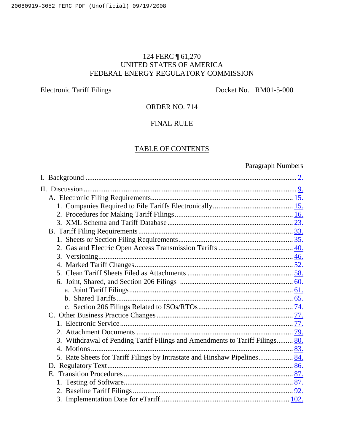# 124 FERC ¶ 61,270 UNITED STATES OF AMERICA FEDERAL ENERGY REGULATORY COMMISSION

Electronic Tariff Filings Docket No. RM01-5-000

# ORDER NO. 714

# FINAL RULE

# TABLE OF CONTENTS

# Paragraph Numbers

| 3. Withdrawal of Pending Tariff Filings and Amendments to Tariff Filings 80. |  |
|------------------------------------------------------------------------------|--|
|                                                                              |  |
| 5. Rate Sheets for Tariff Filings by Intrastate and Hinshaw Pipelines 84.    |  |
|                                                                              |  |
|                                                                              |  |
|                                                                              |  |
|                                                                              |  |
|                                                                              |  |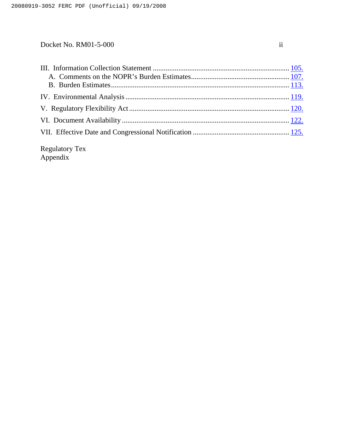| <b>Regulatory Tex</b> |  |
|-----------------------|--|

Appendix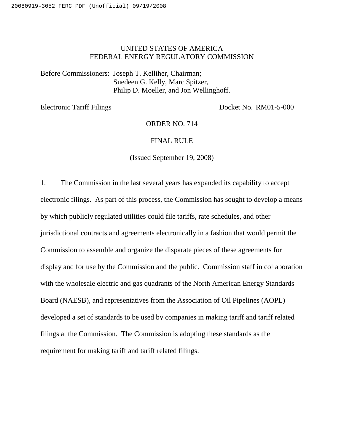# UNITED STATES OF AMERICA FEDERAL ENERGY REGULATORY COMMISSION

Before Commissioners: Joseph T. Kelliher, Chairman; Suedeen G. Kelly, Marc Spitzer, Philip D. Moeller, and Jon Wellinghoff.

Electronic Tariff Filings Docket No. RM01-5-000

ORDER NO. 714

## FINAL RULE

(Issued September 19, 2008)

1. The Commission in the last several years has expanded its capability to accept electronic filings. As part of this process, the Commission has sought to develop a means by which publicly regulated utilities could file tariffs, rate schedules, and other jurisdictional contracts and agreements electronically in a fashion that would permit the Commission to assemble and organize the disparate pieces of these agreements for display and for use by the Commission and the public. Commission staff in collaboration with the wholesale electric and gas quadrants of the North American Energy Standards Board (NAESB), and representatives from the Association of Oil Pipelines (AOPL) developed a set of standards to be used by companies in making tariff and tariff related filings at the Commission. The Commission is adopting these standards as the requirement for making tariff and tariff related filings.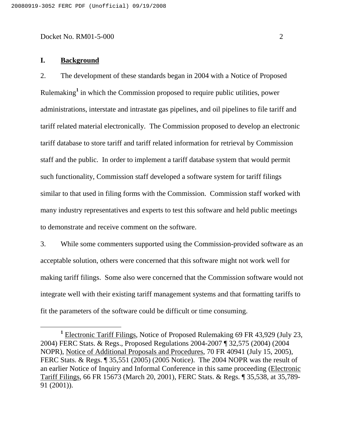## **I. Background**

2. The development of these standards began in 2004 with a Notice of Proposed Rulemaking **<sup>1</sup>** in which the Commission proposed to require public utilities, power administrations, interstate and intrastate gas pipelines, and oil pipelines to file tariff and tariff related material electronically. The Commission proposed to develop an electronic tariff database to store tariff and tariff related information for retrieval by Commission staff and the public. In order to implement a tariff database system that would permit such functionality, Commission staff developed a software system for tariff filings similar to that used in filing forms with the Commission. Commission staff worked with many industry representatives and experts to test this software and held public meetings to demonstrate and receive comment on the software.

3. While some commenters supported using the Commission-provided software as an acceptable solution, others were concerned that this software might not work well for making tariff filings. Some also were concerned that the Commission software would not integrate well with their existing tariff management systems and that formatting tariffs to fit the parameters of the software could be difficult or time consuming.

**<sup>1</sup>** Electronic Tariff Filings, Notice of Proposed Rulemaking 69 FR 43,929 (July 23, 2004) FERC Stats. & Regs., Proposed Regulations 2004-2007 ¶ 32,575 (2004) (2004 NOPR), Notice of Additional Proposals and Procedures, 70 FR 40941 (July 15, 2005), FERC Stats. & Regs. ¶ 35,551 (2005) (2005 Notice). The 2004 NOPR was the result of an earlier Notice of Inquiry and Informal Conference in this same proceeding (Electronic Tariff Filings, 66 FR 15673 (March 20, 2001), FERC Stats. & Regs. ¶ 35,538, at 35,789- 91 (2001)).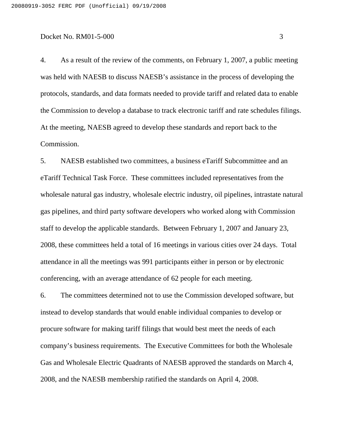4. As a result of the review of the comments, on February 1, 2007, a public meeting was held with NAESB to discuss NAESB's assistance in the process of developing the protocols, standards, and data formats needed to provide tariff and related data to enable the Commission to develop a database to track electronic tariff and rate schedules filings. At the meeting, NAESB agreed to develop these standards and report back to the Commission.

5. NAESB established two committees, a business eTariff Subcommittee and an eTariff Technical Task Force. These committees included representatives from the wholesale natural gas industry, wholesale electric industry, oil pipelines, intrastate natural gas pipelines, and third party software developers who worked along with Commission staff to develop the applicable standards. Between February 1, 2007 and January 23, 2008, these committees held a total of 16 meetings in various cities over 24 days. Total attendance in all the meetings was 991 participants either in person or by electronic conferencing, with an average attendance of 62 people for each meeting.

6. The committees determined not to use the Commission developed software, but instead to develop standards that would enable individual companies to develop or procure software for making tariff filings that would best meet the needs of each company's business requirements. The Executive Committees for both the Wholesale Gas and Wholesale Electric Quadrants of NAESB approved the standards on March 4, 2008, and the NAESB membership ratified the standards on April 4, 2008.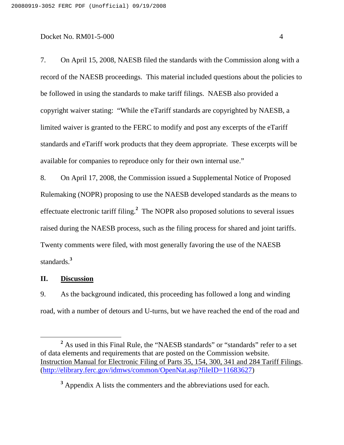7. On April 15, 2008, NAESB filed the standards with the Commission along with a record of the NAESB proceedings. This material included questions about the policies to be followed in using the standards to make tariff filings. NAESB also provided a copyright waiver stating: "While the eTariff standards are copyrighted by NAESB, a limited waiver is granted to the FERC to modify and post any excerpts of the eTariff standards and eTariff work products that they deem appropriate. These excerpts will be available for companies to reproduce only for their own internal use."

8. On April 17, 2008, the Commission issued a Supplemental Notice of Proposed Rulemaking (NOPR) proposing to use the NAESB developed standards as the means to effectuate electronic tariff filing. **<sup>2</sup>** The NOPR also proposed solutions to several issues raised during the NAESB process, such as the filing process for shared and joint tariffs. Twenty comments were filed, with most generally favoring the use of the NAESB standards. **3**

# **II. Discussion**

9. As the background indicated, this proceeding has followed a long and winding road, with a number of detours and U-turns, but we have reached the end of the road and

<sup>&</sup>lt;sup>2</sup> As used in this Final Rule, the "NAESB standards" or "standards" refer to a set of data elements and requirements that are posted on the Commission website. Instruction Manual for Electronic Filing of Parts 35, 154, 300, 341 and 284 Tariff Filings. (http://elibrary.ferc.gov/idmws/common/OpenNat.asp?fileID=11683627)

**<sup>3</sup>** Appendix A lists the commenters and the abbreviations used for each.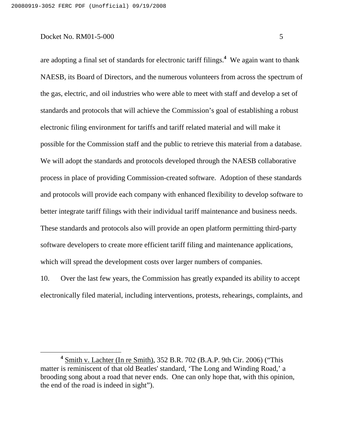are adopting a final set of standards for electronic tariff filings. **<sup>4</sup>** We again want to thank NAESB, its Board of Directors, and the numerous volunteers from across the spectrum of the gas, electric, and oil industries who were able to meet with staff and develop a set of standards and protocols that will achieve the Commission's goal of establishing a robust electronic filing environment for tariffs and tariff related material and will make it possible for the Commission staff and the public to retrieve this material from a database. We will adopt the standards and protocols developed through the NAESB collaborative process in place of providing Commission-created software. Adoption of these standards and protocols will provide each company with enhanced flexibility to develop software to better integrate tariff filings with their individual tariff maintenance and business needs. These standards and protocols also will provide an open platform permitting third-party software developers to create more efficient tariff filing and maintenance applications, which will spread the development costs over larger numbers of companies.

10. Over the last few years, the Commission has greatly expanded its ability to accept electronically filed material, including interventions, protests, rehearings, complaints, and

**<sup>4</sup>** Smith v. Lachter (In re Smith), 352 B.R. 702 (B.A.P. 9th Cir. 2006) ("This matter is reminiscent of that old Beatles' standard, 'The Long and Winding Road,' a brooding song about a road that never ends. One can only hope that, with this opinion, the end of the road is indeed in sight").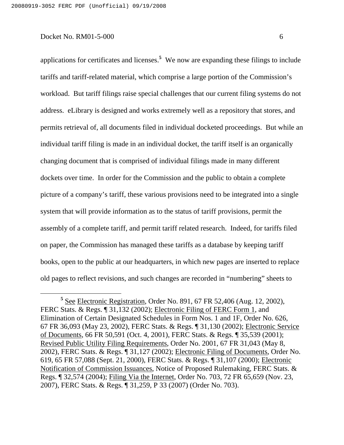applications for certificates and licenses. **<sup>5</sup>** We now are expanding these filings to include tariffs and tariff-related material, which comprise a large portion of the Commission's workload. But tariff filings raise special challenges that our current filing systems do not address. eLibrary is designed and works extremely well as a repository that stores, and permits retrieval of, all documents filed in individual docketed proceedings. But while an individual tariff filing is made in an individual docket, the tariff itself is an organically changing document that is comprised of individual filings made in many different dockets over time. In order for the Commission and the public to obtain a complete picture of a company's tariff, these various provisions need to be integrated into a single system that will provide information as to the status of tariff provisions, permit the assembly of a complete tariff, and permit tariff related research. Indeed, for tariffs filed on paper, the Commission has managed these tariffs as a database by keeping tariff books, open to the public at our headquarters, in which new pages are inserted to replace old pages to reflect revisions, and such changes are recorded in "numbering" sheets to

**<sup>5</sup>** See Electronic Registration, Order No. 891, 67 FR 52,406 (Aug. 12, 2002), FERC Stats. & Regs. ¶ 31,132 (2002); Electronic Filing of FERC Form 1, and Elimination of Certain Designated Schedules in Form Nos. 1 and 1F, Order No. 626, 67 FR 36,093 (May 23, 2002), FERC Stats. & Regs. ¶ 31,130 (2002); Electronic Service of Documents, 66 FR 50,591 (Oct. 4, 2001), FERC Stats. & Regs. ¶ 35,539 (2001); Revised Public Utility Filing Requirements, Order No. 2001, 67 FR 31,043 (May 8, 2002), FERC Stats. & Regs. ¶ 31,127 (2002); Electronic Filing of Documents, Order No. 619, 65 FR 57,088 (Sept. 21, 2000), FERC Stats. & Regs. ¶ 31,107 (2000); Electronic Notification of Commission Issuances, Notice of Proposed Rulemaking, FERC Stats. & Regs. ¶ 32,574 (2004); Filing Via the Internet, Order No. 703, 72 FR 65,659 (Nov. 23, 2007), FERC Stats. & Regs. ¶ 31,259, P 33 (2007) (Order No. 703).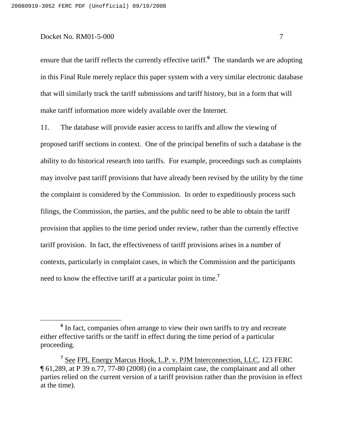ensure that the tariff reflects the currently effective tariff. **<sup>6</sup>** The standards we are adopting in this Final Rule merely replace this paper system with a very similar electronic database that will similarly track the tariff submissions and tariff history, but in a form that will make tariff information more widely available over the Internet.

11. The database will provide easier access to tariffs and allow the viewing of proposed tariff sections in context. One of the principal benefits of such a database is the ability to do historical research into tariffs. For example, proceedings such as complaints may involve past tariff provisions that have already been revised by the utility by the time the complaint is considered by the Commission. In order to expeditiously process such filings, the Commission, the parties, and the public need to be able to obtain the tariff provision that applies to the time period under review, rather than the currently effective tariff provision. In fact, the effectiveness of tariff provisions arises in a number of contexts, particularly in complaint cases, in which the Commission and the participants need to know the effective tariff at a particular point in time. **7**

**<sup>6</sup>** In fact, companies often arrange to view their own tariffs to try and recreate either effective tariffs or the tariff in effect during the time period of a particular proceeding.

**<sup>7</sup>** See FPL Energy Marcus Hook, L.P. v. PJM Interconnection, LLC, 123 FERC ¶ 61,289, at P 39 n.77, 77-80 (2008) (in a complaint case, the complainant and all other parties relied on the current version of a tariff provision rather than the provision in effect at the time).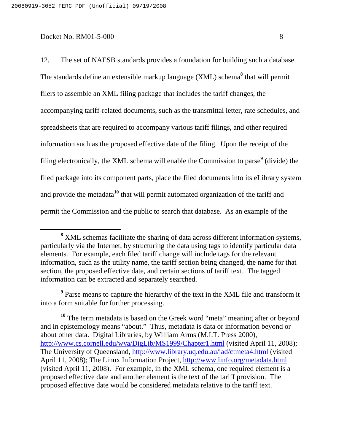12. The set of NAESB standards provides a foundation for building such a database. The standards define an extensible markup language (XML) schema **<sup>8</sup>** that will permit filers to assemble an XML filing package that includes the tariff changes, the accompanying tariff-related documents, such as the transmittal letter, rate schedules, and spreadsheets that are required to accompany various tariff filings, and other required information such as the proposed effective date of the filing. Upon the receipt of the filing electronically, the XML schema will enable the Commission to parse **<sup>9</sup>** (divide) the filed package into its component parts, place the filed documents into its eLibrary system and provide the metadata<sup>10</sup> that will permit automated organization of the tariff and permit the Commission and the public to search that database. As an example of the

**<sup>9</sup>** Parse means to capture the hierarchy of the text in the XML file and transform it into a form suitable for further processing.

**<sup>8</sup>** XML schemas facilitate the sharing of data across different information systems, particularly via the Internet, by structuring the data using tags to identify particular data elements. For example, each filed tariff change will include tags for the relevant information, such as the utility name, the tariff section being changed, the name for that section, the proposed effective date, and certain sections of tariff text. The tagged information can be extracted and separately searched.

<sup>&</sup>lt;sup>10</sup> The term metadata is based on the Greek word "meta" meaning after or beyond and in epistemology means "about." Thus, metadata is data or information beyond or about other data. Digital Libraries, by William Arms (M.I.T. Press 2000), http://www.cs.cornell.edu/wya/DigLib/MS1999/Chapter1.html (visited April 11, 2008); The University of Queensland, http://www.library.uq.edu.au/iad/ctmeta4.html (visited April 11, 2008); The Linux Information Project, http://www.linfo.org/metadata.html (visited April 11, 2008). For example, in the XML schema, one required element is a proposed effective date and another element is the text of the tariff provision. The proposed effective date would be considered metadata relative to the tariff text.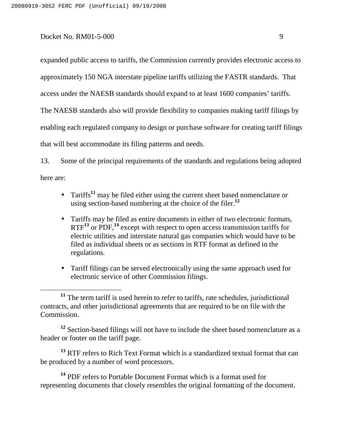expanded public access to tariffs, the Commission currently provides electronic access to approximately 150 NGA interstate pipeline tariffs utilizing the FASTR standards. That

access under the NAESB standards should expand to at least 1600 companies' tariffs.

The NAESB standards also will provide flexibility to companies making tariff filings by

enabling each regulated company to design or purchase software for creating tariff filings

that will best accommodate its filing patterns and needs.

13. Some of the principal requirements of the standards and regulations being adopted here are:

- Tariffs **11** may be filed either using the current sheet based nomenclature or using section-based numbering at the choice of the filer. **12**
- Tariffs may be filed as entire documents in either of two electronic formats, RTF**<sup>13</sup>** or PDF, **14** except with respect to open access transmission tariffs for electric utilities and interstate natural gas companies which would have to be filed as individual sheets or as sections in RTF format as defined in the regulations.
- Tariff filings can be served electronically using the same approach used for electronic service of other Commission filings.

**<sup>12</sup>** Section-based filings will not have to include the sheet based nomenclature as a header or footer on the tariff page.

**<sup>13</sup>** RTF refers to Rich Text Format which is a standardized textual format that can be produced by a number of word processors.

**<sup>14</sup>** PDF refers to Portable Document Format which is a format used for representing documents that closely resembles the original formatting of the document.

<sup>&</sup>lt;sup>11</sup> The term tariff is used herein to refer to tariffs, rate schedules, jurisdictional contracts, and other jurisdictional agreements that are required to be on file with the Commission.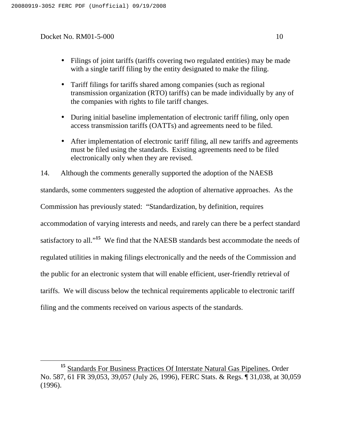- Filings of joint tariffs (tariffs covering two regulated entities) may be made with a single tariff filing by the entity designated to make the filing.
- Tariff filings for tariffs shared among companies (such as regional transmission organization (RTO) tariffs) can be made individually by any of the companies with rights to file tariff changes.
- During initial baseline implementation of electronic tariff filing, only open access transmission tariffs (OATTs) and agreements need to be filed.
- After implementation of electronic tariff filing, all new tariffs and agreements must be filed using the standards. Existing agreements need to be filed electronically only when they are revised.

14. Although the comments generally supported the adoption of the NAESB standards, some commenters suggested the adoption of alternative approaches. As the Commission has previously stated: "Standardization, by definition, requires accommodation of varying interests and needs, and rarely can there be a perfect standard satisfactory to all."<sup>15</sup> We find that the NAESB standards best accommodate the needs of regulated utilities in making filings electronically and the needs of the Commission and the public for an electronic system that will enable efficient, user-friendly retrieval of tariffs. We will discuss below the technical requirements applicable to electronic tariff filing and the comments received on various aspects of the standards.

<sup>&</sup>lt;sup>15</sup> Standards For Business Practices Of Interstate Natural Gas Pipelines, Order No. 587, 61 FR 39,053, 39,057 (July 26, 1996), FERC Stats. & Regs. ¶ 31,038, at 30,059 (1996).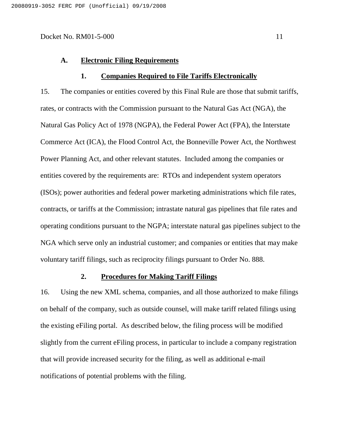#### **A. Electronic Filing Requirements**

#### **1. Companies Required to File Tariffs Electronically**

15. The companies or entities covered by this Final Rule are those that submit tariffs, rates, or contracts with the Commission pursuant to the Natural Gas Act (NGA), the Natural Gas Policy Act of 1978 (NGPA), the Federal Power Act (FPA), the Interstate Commerce Act (ICA), the Flood Control Act, the Bonneville Power Act, the Northwest Power Planning Act, and other relevant statutes. Included among the companies or entities covered by the requirements are: RTOs and independent system operators (ISOs); power authorities and federal power marketing administrations which file rates, contracts, or tariffs at the Commission; intrastate natural gas pipelines that file rates and operating conditions pursuant to the NGPA; interstate natural gas pipelines subject to the NGA which serve only an industrial customer; and companies or entities that may make voluntary tariff filings, such as reciprocity filings pursuant to Order No. 888.

# **2. Procedures for Making Tariff Filings**

16. Using the new XML schema, companies, and all those authorized to make filings on behalf of the company, such as outside counsel, will make tariff related filings using the existing eFiling portal. As described below, the filing process will be modified slightly from the current eFiling process, in particular to include a company registration that will provide increased security for the filing, as well as additional e-mail notifications of potential problems with the filing.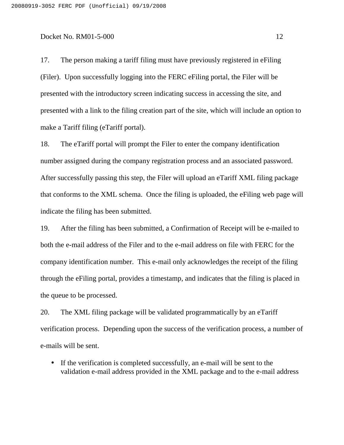17. The person making a tariff filing must have previously registered in eFiling (Filer). Upon successfully logging into the FERC eFiling portal, the Filer will be presented with the introductory screen indicating success in accessing the site, and presented with a link to the filing creation part of the site, which will include an option to make a Tariff filing (eTariff portal).

18. The eTariff portal will prompt the Filer to enter the company identification number assigned during the company registration process and an associated password. After successfully passing this step, the Filer will upload an eTariff XML filing package that conforms to the XML schema. Once the filing is uploaded, the eFiling web page will indicate the filing has been submitted.

19. After the filing has been submitted, a Confirmation of Receipt will be e-mailed to both the e-mail address of the Filer and to the e-mail address on file with FERC for the company identification number. This e-mail only acknowledges the receipt of the filing through the eFiling portal, provides a timestamp, and indicates that the filing is placed in the queue to be processed.

20. The XML filing package will be validated programmatically by an eTariff verification process. Depending upon the success of the verification process, a number of e-mails will be sent.

• If the verification is completed successfully, an e-mail will be sent to the validation e-mail address provided in the XML package and to the e-mail address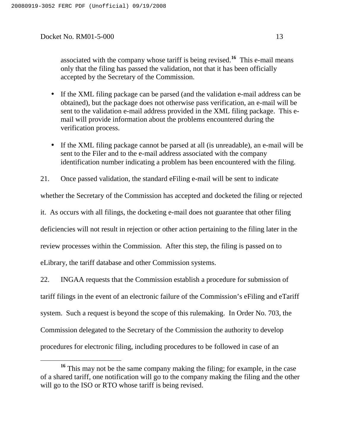associated with the company whose tariff is being revised. **<sup>16</sup>** This e-mail means only that the filing has passed the validation, not that it has been officially accepted by the Secretary of the Commission.

- If the XML filing package can be parsed (and the validation e-mail address can be obtained), but the package does not otherwise pass verification, an e-mail will be sent to the validation e-mail address provided in the XML filing package. This email will provide information about the problems encountered during the verification process.
- If the XML filing package cannot be parsed at all (is unreadable), an e-mail will be sent to the Filer and to the e-mail address associated with the company identification number indicating a problem has been encountered with the filing.

21. Once passed validation, the standard eFiling e-mail will be sent to indicate

whether the Secretary of the Commission has accepted and docketed the filing or rejected

it. As occurs with all filings, the docketing e-mail does not guarantee that other filing deficiencies will not result in rejection or other action pertaining to the filing later in the review processes within the Commission. After this step, the filing is passed on to

eLibrary, the tariff database and other Commission systems.

22. INGAA requests that the Commission establish a procedure for submission of tariff filings in the event of an electronic failure of the Commission's eFiling and eTariff system. Such a request is beyond the scope of this rulemaking. In Order No. 703, the Commission delegated to the Secretary of the Commission the authority to develop procedures for electronic filing, including procedures to be followed in case of an

**<sup>16</sup>** This may not be the same company making the filing; for example, in the case of a shared tariff, one notification will go to the company making the filing and the other will go to the ISO or RTO whose tariff is being revised.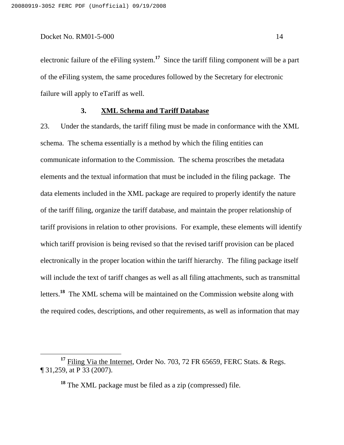electronic failure of the eFiling system. **<sup>17</sup>** Since the tariff filing component will be a part of the eFiling system, the same procedures followed by the Secretary for electronic failure will apply to eTariff as well.

#### **3. XML Schema and Tariff Database**

23. Under the standards, the tariff filing must be made in conformance with the XML schema. The schema essentially is a method by which the filing entities can communicate information to the Commission. The schema proscribes the metadata elements and the textual information that must be included in the filing package. The data elements included in the XML package are required to properly identify the nature of the tariff filing, organize the tariff database, and maintain the proper relationship of tariff provisions in relation to other provisions. For example, these elements will identify which tariff provision is being revised so that the revised tariff provision can be placed electronically in the proper location within the tariff hierarchy. The filing package itself will include the text of tariff changes as well as all filing attachments, such as transmittal letters. **<sup>18</sup>** The XML schema will be maintained on the Commission website along with the required codes, descriptions, and other requirements, as well as information that may

**<sup>18</sup>** The XML package must be filed as a zip (compressed) file.

<sup>&</sup>lt;sup>17</sup> Filing Via the Internet, Order No. 703, 72 FR 65659, FERC Stats. & Regs. ¶ 31,259, at P 33 (2007).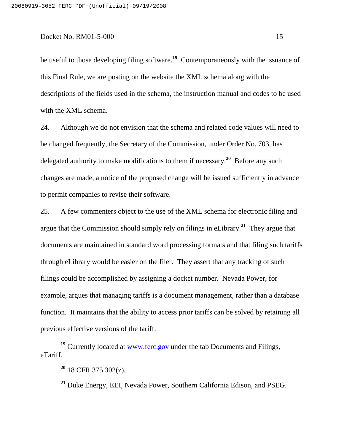be useful to those developing filing software. **<sup>19</sup>** Contemporaneously with the issuance of this Final Rule, we are posting on the website the XML schema along with the descriptions of the fields used in the schema, the instruction manual and codes to be used with the XML schema.

24. Although we do not envision that the schema and related code values will need to be changed frequently, the Secretary of the Commission, under Order No. 703, has delegated authority to make modifications to them if necessary. **<sup>20</sup>** Before any such changes are made, a notice of the proposed change will be issued sufficiently in advance to permit companies to revise their software.

25. A few commenters object to the use of the XML schema for electronic filing and argue that the Commission should simply rely on filings in eLibrary. **<sup>21</sup>** They argue that documents are maintained in standard word processing formats and that filing such tariffs through eLibrary would be easier on the filer. They assert that any tracking of such filings could be accomplished by assigning a docket number. Nevada Power, for example, argues that managing tariffs is a document management, rather than a database function. It maintains that the ability to access prior tariffs can be solved by retaining all previous effective versions of the tariff.

**<sup>19</sup>** Currently located at www.ferc.gov under the tab Documents and Filings, eTariff.

**<sup>20</sup>** 18 CFR 375.302(z).

**<sup>21</sup>** Duke Energy, EEI, Nevada Power, Southern California Edison, and PSEG.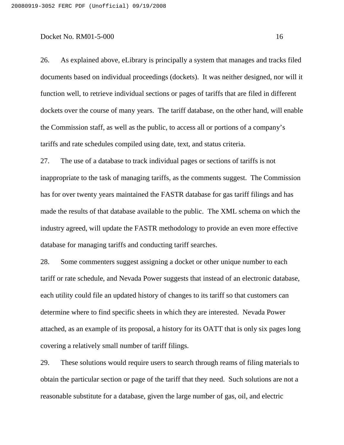26. As explained above, eLibrary is principally a system that manages and tracks filed documents based on individual proceedings (dockets). It was neither designed, nor will it function well, to retrieve individual sections or pages of tariffs that are filed in different dockets over the course of many years. The tariff database, on the other hand, will enable the Commission staff, as well as the public, to access all or portions of a company's tariffs and rate schedules compiled using date, text, and status criteria.

27. The use of a database to track individual pages or sections of tariffs is not inappropriate to the task of managing tariffs, as the comments suggest. The Commission has for over twenty years maintained the FASTR database for gas tariff filings and has made the results of that database available to the public. The XML schema on which the industry agreed, will update the FASTR methodology to provide an even more effective database for managing tariffs and conducting tariff searches.

28. Some commenters suggest assigning a docket or other unique number to each tariff or rate schedule, and Nevada Power suggests that instead of an electronic database, each utility could file an updated history of changes to its tariff so that customers can determine where to find specific sheets in which they are interested. Nevada Power attached, as an example of its proposal, a history for its OATT that is only six pages long covering a relatively small number of tariff filings.

29. These solutions would require users to search through reams of filing materials to obtain the particular section or page of the tariff that they need. Such solutions are not a reasonable substitute for a database, given the large number of gas, oil, and electric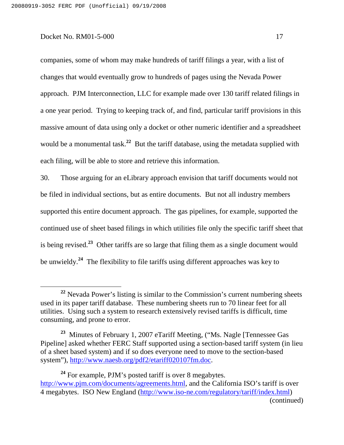companies, some of whom may make hundreds of tariff filings a year, with a list of changes that would eventually grow to hundreds of pages using the Nevada Power approach. PJM Interconnection, LLC for example made over 130 tariff related filings in a one year period. Trying to keeping track of, and find, particular tariff provisions in this massive amount of data using only a docket or other numeric identifier and a spreadsheet would be a monumental task. **<sup>22</sup>** But the tariff database, using the metadata supplied with each filing, will be able to store and retrieve this information.

30. Those arguing for an eLibrary approach envision that tariff documents would not be filed in individual sections, but as entire documents. But not all industry members supported this entire document approach. The gas pipelines, for example, supported the continued use of sheet based filings in which utilities file only the specific tariff sheet that is being revised. **<sup>23</sup>** Other tariffs are so large that filing them as a single document would be unwieldy. **<sup>24</sup>** The flexibility to file tariffs using different approaches was key to

**<sup>24</sup>** For example, PJM's posted tariff is over 8 megabytes. http://www.pjm.com/documents/agreements.html, and the California ISO's tariff is over 4 megabytes. ISO New England (http://www.iso-ne.com/regulatory/tariff/index.html) (continued)

<sup>&</sup>lt;sup>22</sup> Nevada Power's listing is similar to the Commission's current numbering sheets used in its paper tariff database. These numbering sheets run to 70 linear feet for all utilities. Using such a system to research extensively revised tariffs is difficult, time consuming, and prone to error.

**<sup>23</sup>** Minutes of February 1, 2007 eTariff Meeting, ("Ms. Nagle [Tennessee Gas Pipeline] asked whether FERC Staff supported using a section-based tariff system (in lieu of a sheet based system) and if so does everyone need to move to the section-based system"), http://www.naesb.org/pdf2/etariff020107fm.doc.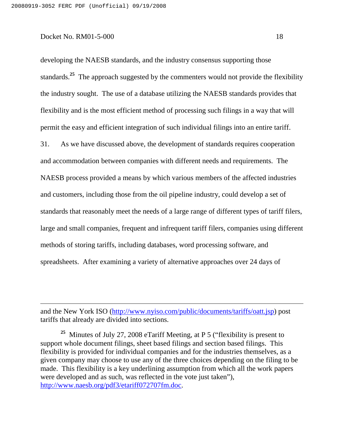developing the NAESB standards, and the industry consensus supporting those standards. **<sup>25</sup>** The approach suggested by the commenters would not provide the flexibility the industry sought. The use of a database utilizing the NAESB standards provides that flexibility and is the most efficient method of processing such filings in a way that will permit the easy and efficient integration of such individual filings into an entire tariff. 31. As we have discussed above, the development of standards requires cooperation and accommodation between companies with different needs and requirements. The NAESB process provided a means by which various members of the affected industries and customers, including those from the oil pipeline industry, could develop a set of standards that reasonably meet the needs of a large range of different types of tariff filers, large and small companies, frequent and infrequent tariff filers, companies using different methods of storing tariffs, including databases, word processing software, and spreadsheets. After examining a variety of alternative approaches over 24 days of

and the New York ISO (http://www.nyiso.com/public/documents/tariffs/oatt.jsp) post tariffs that already are divided into sections.

**<sup>25</sup>** Minutes of July 27, 2008 eTariff Meeting, at P 5 ("flexibility is present to support whole document filings, sheet based filings and section based filings. This flexibility is provided for individual companies and for the industries themselves, as a given company may choose to use any of the three choices depending on the filing to be made. This flexibility is a key underlining assumption from which all the work papers were developed and as such, was reflected in the vote just taken"), http://www.naesb.org/pdf3/etariff072707fm.doc.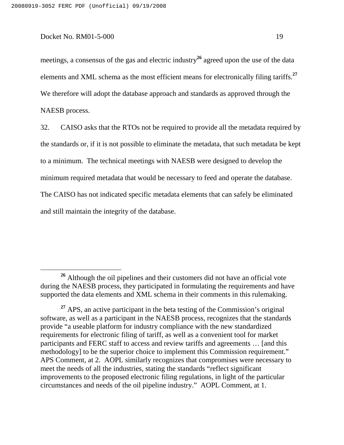meetings, a consensus of the gas and electric industry **<sup>26</sup>** agreed upon the use of the data elements and XML schema as the most efficient means for electronically filing tariffs. **27** We therefore will adopt the database approach and standards as approved through the NAESB process.

32. CAISO asks that the RTOs not be required to provide all the metadata required by the standards or, if it is not possible to eliminate the metadata, that such metadata be kept to a minimum. The technical meetings with NAESB were designed to develop the minimum required metadata that would be necessary to feed and operate the database. The CAISO has not indicated specific metadata elements that can safely be eliminated and still maintain the integrity of the database.

**<sup>26</sup>** Although the oil pipelines and their customers did not have an official vote during the NAESB process, they participated in formulating the requirements and have supported the data elements and XML schema in their comments in this rulemaking.

<sup>&</sup>lt;sup>27</sup> APS, an active participant in the beta testing of the Commission's original software, as well as a participant in the NAESB process, recognizes that the standards provide "a useable platform for industry compliance with the new standardized requirements for electronic filing of tariff, as well as a convenient tool for market participants and FERC staff to access and review tariffs and agreements … [and this methodology] to be the superior choice to implement this Commission requirement." APS Comment, at 2. AOPL similarly recognizes that compromises were necessary to meet the needs of all the industries, stating the standards "reflect significant improvements to the proposed electronic filing regulations, in light of the particular circumstances and needs of the oil pipeline industry." AOPL Comment, at 1.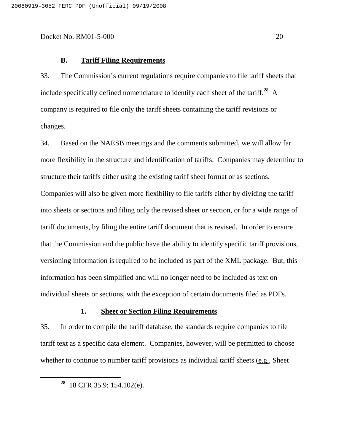#### **B. Tariff Filing Requirements**

33. The Commission's current regulations require companies to file tariff sheets that include specifically defined nomenclature to identify each sheet of the tariff. **<sup>28</sup>** A company is required to file only the tariff sheets containing the tariff revisions or changes.

34. Based on the NAESB meetings and the comments submitted, we will allow far more flexibility in the structure and identification of tariffs. Companies may determine to structure their tariffs either using the existing tariff sheet format or as sections. Companies will also be given more flexibility to file tariffs either by dividing the tariff into sheets or sections and filing only the revised sheet or section, or for a wide range of tariff documents, by filing the entire tariff document that is revised. In order to ensure that the Commission and the public have the ability to identify specific tariff provisions, versioning information is required to be included as part of the XML package. But, this information has been simplified and will no longer need to be included as text on individual sheets or sections, with the exception of certain documents filed as PDFs.

#### **1. Sheet or Section Filing Requirements**

35. In order to compile the tariff database, the standards require companies to file tariff text as a specific data element. Companies, however, will be permitted to choose whether to continue to number tariff provisions as individual tariff sheets (e.g., Sheet

**<sup>28</sup>** 18 CFR 35.9; 154.102(e).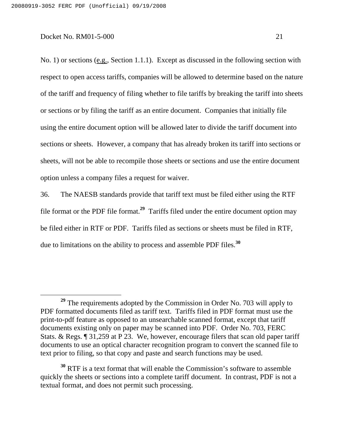No. 1) or sections (e.g., Section 1.1.1). Except as discussed in the following section with respect to open access tariffs, companies will be allowed to determine based on the nature of the tariff and frequency of filing whether to file tariffs by breaking the tariff into sheets or sections or by filing the tariff as an entire document. Companies that initially file using the entire document option will be allowed later to divide the tariff document into sections or sheets. However, a company that has already broken its tariff into sections or sheets, will not be able to recompile those sheets or sections and use the entire document option unless a company files a request for waiver.

36. The NAESB standards provide that tariff text must be filed either using the RTF file format or the PDF file format. **<sup>29</sup>** Tariffs filed under the entire document option may be filed either in RTF or PDF. Tariffs filed as sections or sheets must be filed in RTF, due to limitations on the ability to process and assemble PDF files. **30**

**<sup>29</sup>** The requirements adopted by the Commission in Order No. 703 will apply to PDF formatted documents filed as tariff text. Tariffs filed in PDF format must use the print-to-pdf feature as opposed to an unsearchable scanned format, except that tariff documents existing only on paper may be scanned into PDF. Order No. 703, FERC Stats. & Regs. ¶ 31,259 at P 23. We, however, encourage filers that scan old paper tariff documents to use an optical character recognition program to convert the scanned file to text prior to filing, so that copy and paste and search functions may be used.

**<sup>30</sup>** RTF is a text format that will enable the Commission's software to assemble quickly the sheets or sections into a complete tariff document. In contrast, PDF is not a textual format, and does not permit such processing.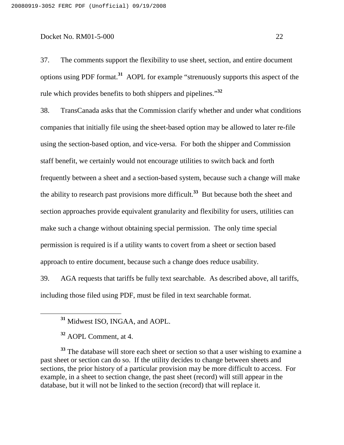37. The comments support the flexibility to use sheet, section, and entire document options using PDF format. **<sup>31</sup>** AOPL for example "strenuously supports this aspect of the rule which provides benefits to both shippers and pipelines." **32**

38. TransCanada asks that the Commission clarify whether and under what conditions companies that initially file using the sheet-based option may be allowed to later re-file using the section-based option, and vice-versa. For both the shipper and Commission staff benefit, we certainly would not encourage utilities to switch back and forth frequently between a sheet and a section-based system, because such a change will make the ability to research past provisions more difficult. **<sup>33</sup>** But because both the sheet and section approaches provide equivalent granularity and flexibility for users, utilities can make such a change without obtaining special permission. The only time special permission is required is if a utility wants to covert from a sheet or section based approach to entire document, because such a change does reduce usability.

39. AGA requests that tariffs be fully text searchable. As described above, all tariffs, including those filed using PDF, must be filed in text searchable format.

<sup>33</sup> The database will store each sheet or section so that a user wishing to examine a past sheet or section can do so. If the utility decides to change between sheets and sections, the prior history of a particular provision may be more difficult to access. For example, in a sheet to section change, the past sheet (record) will still appear in the database, but it will not be linked to the section (record) that will replace it.

**<sup>31</sup>** Midwest ISO, INGAA, and AOPL.

**<sup>32</sup>** AOPL Comment, at 4.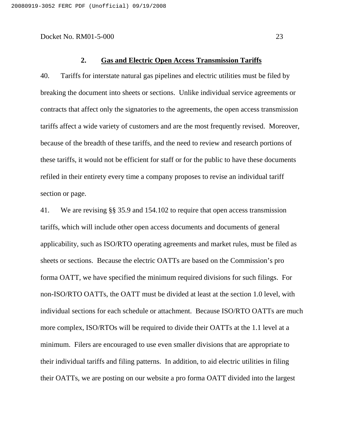#### **2. Gas and Electric Open Access Transmission Tariffs**

40. Tariffs for interstate natural gas pipelines and electric utilities must be filed by breaking the document into sheets or sections. Unlike individual service agreements or contracts that affect only the signatories to the agreements, the open access transmission tariffs affect a wide variety of customers and are the most frequently revised. Moreover, because of the breadth of these tariffs, and the need to review and research portions of these tariffs, it would not be efficient for staff or for the public to have these documents refiled in their entirety every time a company proposes to revise an individual tariff section or page.

41. We are revising §§ 35.9 and 154.102 to require that open access transmission tariffs, which will include other open access documents and documents of general applicability, such as ISO/RTO operating agreements and market rules, must be filed as sheets or sections. Because the electric OATTs are based on the Commission's pro forma OATT, we have specified the minimum required divisions for such filings. For non-ISO/RTO OATTs, the OATT must be divided at least at the section 1.0 level, with individual sections for each schedule or attachment. Because ISO/RTO OATTs are much more complex, ISO/RTOs will be required to divide their OATTs at the 1.1 level at a minimum. Filers are encouraged to use even smaller divisions that are appropriate to their individual tariffs and filing patterns. In addition, to aid electric utilities in filing their OATTs, we are posting on our website a pro forma OATT divided into the largest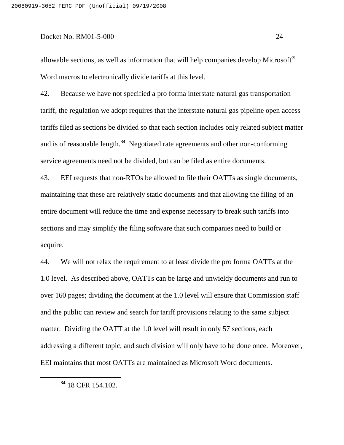allowable sections, as well as information that will help companies develop Microsoft $^{\circledR}$ Word macros to electronically divide tariffs at this level.

42. Because we have not specified a pro forma interstate natural gas transportation tariff, the regulation we adopt requires that the interstate natural gas pipeline open access tariffs filed as sections be divided so that each section includes only related subject matter and is of reasonable length. **<sup>34</sup>** Negotiated rate agreements and other non-conforming service agreements need not be divided, but can be filed as entire documents.

43. EEI requests that non-RTOs be allowed to file their OATTs as single documents, maintaining that these are relatively static documents and that allowing the filing of an entire document will reduce the time and expense necessary to break such tariffs into sections and may simplify the filing software that such companies need to build or acquire.

44. We will not relax the requirement to at least divide the pro forma OATTs at the 1.0 level. As described above, OATTs can be large and unwieldy documents and run to over 160 pages; dividing the document at the 1.0 level will ensure that Commission staff and the public can review and search for tariff provisions relating to the same subject matter. Dividing the OATT at the 1.0 level will result in only 57 sections, each addressing a different topic, and such division will only have to be done once. Moreover, EEI maintains that most OATTs are maintained as Microsoft Word documents.

**<sup>34</sup>** 18 CFR 154.102.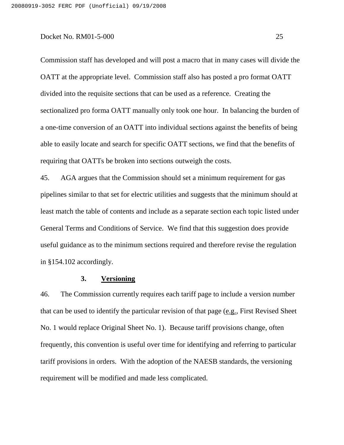Commission staff has developed and will post a macro that in many cases will divide the OATT at the appropriate level. Commission staff also has posted a pro format OATT divided into the requisite sections that can be used as a reference. Creating the sectionalized pro forma OATT manually only took one hour. In balancing the burden of a one-time conversion of an OATT into individual sections against the benefits of being able to easily locate and search for specific OATT sections, we find that the benefits of requiring that OATTs be broken into sections outweigh the costs.

45. AGA argues that the Commission should set a minimum requirement for gas pipelines similar to that set for electric utilities and suggests that the minimum should at least match the table of contents and include as a separate section each topic listed under General Terms and Conditions of Service. We find that this suggestion does provide useful guidance as to the minimum sections required and therefore revise the regulation in §154.102 accordingly.

## **3. Versioning**

46. The Commission currently requires each tariff page to include a version number that can be used to identify the particular revision of that page (e.g., First Revised Sheet No. 1 would replace Original Sheet No. 1). Because tariff provisions change, often frequently, this convention is useful over time for identifying and referring to particular tariff provisions in orders. With the adoption of the NAESB standards, the versioning requirement will be modified and made less complicated.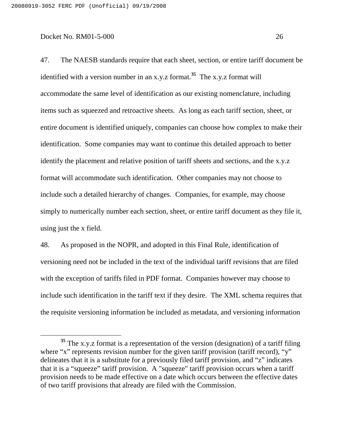47. The NAESB standards require that each sheet, section, or entire tariff document be identified with a version number in an x.y.z format. **<sup>35</sup>** The x.y.z format will accommodate the same level of identification as our existing nomenclature, including items such as squeezed and retroactive sheets. As long as each tariff section, sheet, or entire document is identified uniquely, companies can choose how complex to make their identification. Some companies may want to continue this detailed approach to better identify the placement and relative position of tariff sheets and sections, and the x.y.z format will accommodate such identification. Other companies may not choose to include such a detailed hierarchy of changes. Companies, for example, may choose simply to numerically number each section, sheet, or entire tariff document as they file it, using just the x field.

48. As proposed in the NOPR, and adopted in this Final Rule, identification of versioning need not be included in the text of the individual tariff revisions that are filed with the exception of tariffs filed in PDF format. Companies however may choose to include such identification in the tariff text if they desire. The XML schema requires that the requisite versioning information be included as metadata, and versioning information

**<sup>35</sup>** The x.y.z format is a representation of the version (designation) of a tariff filing where "x" represents revision number for the given tariff provision (tariff record), "y" delineates that it is a substitute for a previously filed tariff provision, and "z" indicates that it is a "squeeze" tariff provision. A "squeeze" tariff provision occurs when a tariff provision needs to be made effective on a date which occurs between the effective dates of two tariff provisions that already are filed with the Commission.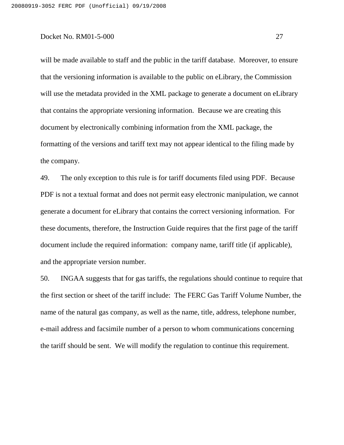will be made available to staff and the public in the tariff database. Moreover, to ensure that the versioning information is available to the public on eLibrary, the Commission will use the metadata provided in the XML package to generate a document on eLibrary that contains the appropriate versioning information. Because we are creating this document by electronically combining information from the XML package, the formatting of the versions and tariff text may not appear identical to the filing made by the company.

49. The only exception to this rule is for tariff documents filed using PDF. Because PDF is not a textual format and does not permit easy electronic manipulation, we cannot generate a document for eLibrary that contains the correct versioning information. For these documents, therefore, the Instruction Guide requires that the first page of the tariff document include the required information: company name, tariff title (if applicable), and the appropriate version number.

50. INGAA suggests that for gas tariffs, the regulations should continue to require that the first section or sheet of the tariff include: The FERC Gas Tariff Volume Number, the name of the natural gas company, as well as the name, title, address, telephone number, e-mail address and facsimile number of a person to whom communications concerning the tariff should be sent. We will modify the regulation to continue this requirement.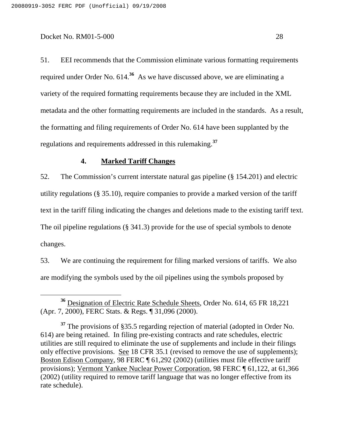51. EEI recommends that the Commission eliminate various formatting requirements required under Order No. 614.<sup>36</sup> As we have discussed above, we are eliminating a variety of the required formatting requirements because they are included in the XML metadata and the other formatting requirements are included in the standards. As a result, the formatting and filing requirements of Order No. 614 have been supplanted by the regulations and requirements addressed in this rulemaking. **37**

# **4. Marked Tariff Changes**

52. The Commission's current interstate natural gas pipeline (§ 154.201) and electric utility regulations (§ 35.10), require companies to provide a marked version of the tariff text in the tariff filing indicating the changes and deletions made to the existing tariff text. The oil pipeline regulations (§ 341.3) provide for the use of special symbols to denote changes.

53. We are continuing the requirement for filing marked versions of tariffs. We also are modifying the symbols used by the oil pipelines using the symbols proposed by

**<sup>36</sup>** Designation of Electric Rate Schedule Sheets, Order No. 614, 65 FR 18,221 (Apr. 7, 2000), FERC Stats. & Regs. ¶ 31,096 (2000).

**<sup>37</sup>** The provisions of §35.5 regarding rejection of material (adopted in Order No. 614) are being retained. In filing pre-existing contracts and rate schedules, electric utilities are still required to eliminate the use of supplements and include in their filings only effective provisions. See 18 CFR 35.1 (revised to remove the use of supplements); Boston Edison Company, 98 FERC ¶ 61,292 (2002) (utilities must file effective tariff provisions); Vermont Yankee Nuclear Power Corporation, 98 FERC ¶ 61,122, at 61,366 (2002) (utility required to remove tariff language that was no longer effective from its rate schedule).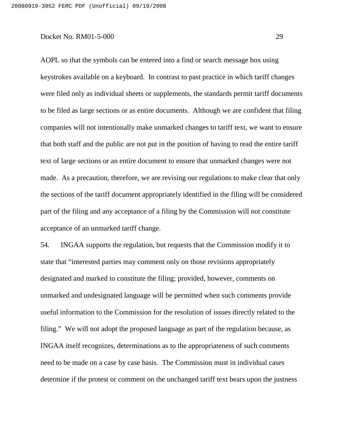AOPL so that the symbols can be entered into a find or search message box using keystrokes available on a keyboard. In contrast to past practice in which tariff changes were filed only as individual sheets or supplements, the standards permit tariff documents to be filed as large sections or as entire documents. Although we are confident that filing companies will not intentionally make unmarked changes to tariff text, we want to ensure that both staff and the public are not put in the position of having to read the entire tariff text of large sections or an entire document to ensure that unmarked changes were not made. As a precaution, therefore, we are revising our regulations to make clear that only the sections of the tariff document appropriately identified in the filing will be considered part of the filing and any acceptance of a filing by the Commission will not constitute acceptance of an unmarked tariff change.

54. INGAA supports the regulation, but requests that the Commission modify it to state that "interested parties may comment only on those revisions appropriately designated and marked to constitute the filing; provided, however, comments on unmarked and undesignated language will be permitted when such comments provide useful information to the Commission for the resolution of issues directly related to the filing." We will not adopt the proposed language as part of the regulation because, as INGAA itself recognizes, determinations as to the appropriateness of such comments need to be made on a case by case basis. The Commission must in individual cases determine if the protest or comment on the unchanged tariff text bears upon the justness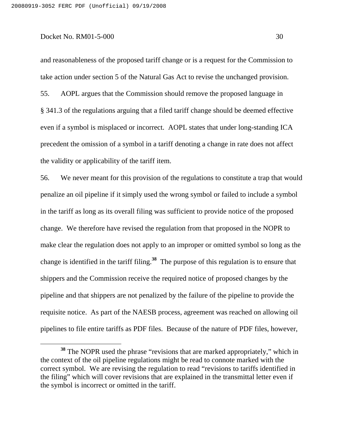and reasonableness of the proposed tariff change or is a request for the Commission to take action under section 5 of the Natural Gas Act to revise the unchanged provision. 55. AOPL argues that the Commission should remove the proposed language in § 341.3 of the regulations arguing that a filed tariff change should be deemed effective even if a symbol is misplaced or incorrect. AOPL states that under long-standing ICA precedent the omission of a symbol in a tariff denoting a change in rate does not affect the validity or applicability of the tariff item.

56. We never meant for this provision of the regulations to constitute a trap that would penalize an oil pipeline if it simply used the wrong symbol or failed to include a symbol in the tariff as long as its overall filing was sufficient to provide notice of the proposed change. We therefore have revised the regulation from that proposed in the NOPR to make clear the regulation does not apply to an improper or omitted symbol so long as the change is identified in the tariff filing. **<sup>38</sup>** The purpose of this regulation is to ensure that shippers and the Commission receive the required notice of proposed changes by the pipeline and that shippers are not penalized by the failure of the pipeline to provide the requisite notice. As part of the NAESB process, agreement was reached on allowing oil pipelines to file entire tariffs as PDF files. Because of the nature of PDF files, however,

**<sup>38</sup>** The NOPR used the phrase "revisions that are marked appropriately," which in the context of the oil pipeline regulations might be read to connote marked with the correct symbol. We are revising the regulation to read "revisions to tariffs identified in the filing" which will cover revisions that are explained in the transmittal letter even if the symbol is incorrect or omitted in the tariff.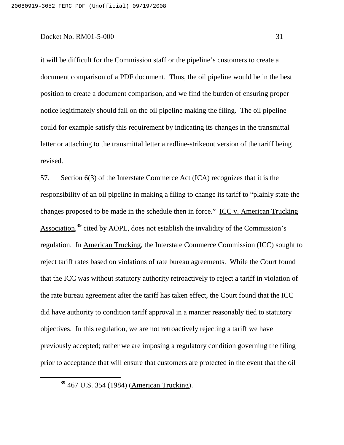it will be difficult for the Commission staff or the pipeline's customers to create a document comparison of a PDF document. Thus, the oil pipeline would be in the best position to create a document comparison, and we find the burden of ensuring proper notice legitimately should fall on the oil pipeline making the filing. The oil pipeline could for example satisfy this requirement by indicating its changes in the transmittal letter or attaching to the transmittal letter a redline-strikeout version of the tariff being revised.

57. Section 6(3) of the Interstate Commerce Act (ICA) recognizes that it is the responsibility of an oil pipeline in making a filing to change its tariff to "plainly state the changes proposed to be made in the schedule then in force." ICC v. American Trucking Association,<sup>39</sup> cited by AOPL, does not establish the invalidity of the Commission's regulation. In American Trucking, the Interstate Commerce Commission (ICC) sought to reject tariff rates based on violations of rate bureau agreements. While the Court found that the ICC was without statutory authority retroactively to reject a tariff in violation of the rate bureau agreement after the tariff has taken effect, the Court found that the ICC did have authority to condition tariff approval in a manner reasonably tied to statutory objectives. In this regulation, we are not retroactively rejecting a tariff we have previously accepted; rather we are imposing a regulatory condition governing the filing prior to acceptance that will ensure that customers are protected in the event that the oil

**<sup>39</sup>** 467 U.S. 354 (1984) (American Trucking).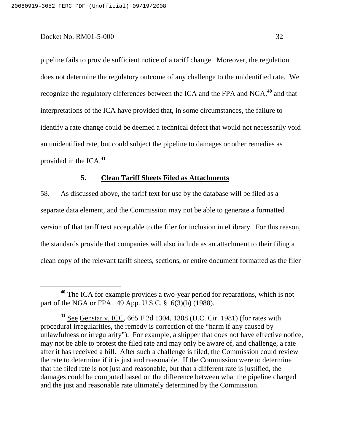pipeline fails to provide sufficient notice of a tariff change. Moreover, the regulation does not determine the regulatory outcome of any challenge to the unidentified rate. We recognize the regulatory differences between the ICA and the FPA and NGA, **<sup>40</sup>** and that interpretations of the ICA have provided that, in some circumstances, the failure to identify a rate change could be deemed a technical defect that would not necessarily void an unidentified rate, but could subject the pipeline to damages or other remedies as provided in the ICA. **41**

# **5. Clean Tariff Sheets Filed as Attachments**

58. As discussed above, the tariff text for use by the database will be filed as a separate data element, and the Commission may not be able to generate a formatted version of that tariff text acceptable to the filer for inclusion in eLibrary. For this reason, the standards provide that companies will also include as an attachment to their filing a clean copy of the relevant tariff sheets, sections, or entire document formatted as the filer

**<sup>40</sup>** The ICA for example provides a two-year period for reparations, which is not part of the NGA or FPA. 49 App. U.S.C. §16(3)(b) (1988).

**<sup>41</sup>** See Genstar v. ICC, 665 F.2d 1304, 1308 (D.C. Cir. 1981) (for rates with procedural irregularities, the remedy is correction of the "harm if any caused by unlawfulness or irregularity"). For example, a shipper that does not have effective notice, may not be able to protest the filed rate and may only be aware of, and challenge, a rate after it has received a bill. After such a challenge is filed, the Commission could review the rate to determine if it is just and reasonable. If the Commission were to determine that the filed rate is not just and reasonable, but that a different rate is justified, the damages could be computed based on the difference between what the pipeline charged and the just and reasonable rate ultimately determined by the Commission.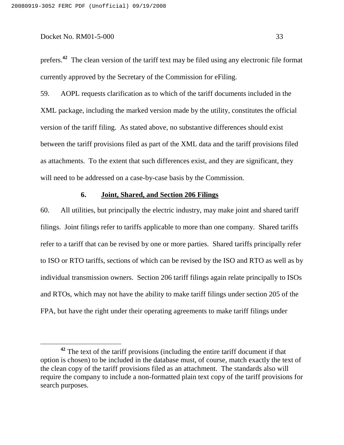prefers. **<sup>42</sup>** The clean version of the tariff text may be filed using any electronic file format currently approved by the Secretary of the Commission for eFiling.

59. AOPL requests clarification as to which of the tariff documents included in the XML package, including the marked version made by the utility, constitutes the official version of the tariff filing. As stated above, no substantive differences should exist between the tariff provisions filed as part of the XML data and the tariff provisions filed as attachments. To the extent that such differences exist, and they are significant, they will need to be addressed on a case-by-case basis by the Commission.

### **6. Joint, Shared, and Section 206 Filings**

60. All utilities, but principally the electric industry, may make joint and shared tariff filings. Joint filings refer to tariffs applicable to more than one company. Shared tariffs refer to a tariff that can be revised by one or more parties. Shared tariffs principally refer to ISO or RTO tariffs, sections of which can be revised by the ISO and RTO as well as by individual transmission owners. Section 206 tariff filings again relate principally to ISOs and RTOs, which may not have the ability to make tariff filings under section 205 of the FPA, but have the right under their operating agreements to make tariff filings under

**<sup>42</sup>** The text of the tariff provisions (including the entire tariff document if that option is chosen) to be included in the database must, of course, match exactly the text of the clean copy of the tariff provisions filed as an attachment. The standards also will require the company to include a non-formatted plain text copy of the tariff provisions for search purposes.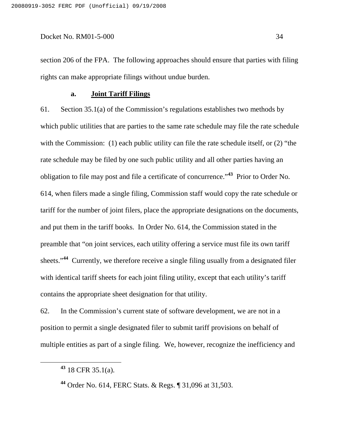section 206 of the FPA. The following approaches should ensure that parties with filing rights can make appropriate filings without undue burden.

### **a. Joint Tariff Filings**

61. Section 35.1(a) of the Commission's regulations establishes two methods by which public utilities that are parties to the same rate schedule may file the rate schedule with the Commission: (1) each public utility can file the rate schedule itself, or (2) "the rate schedule may be filed by one such public utility and all other parties having an obligation to file may post and file a certificate of concurrence." **<sup>43</sup>** Prior to Order No. 614, when filers made a single filing, Commission staff would copy the rate schedule or tariff for the number of joint filers, place the appropriate designations on the documents, and put them in the tariff books. In Order No. 614, the Commission stated in the preamble that "on joint services, each utility offering a service must file its own tariff sheets."<sup>44</sup> Currently, we therefore receive a single filing usually from a designated filer with identical tariff sheets for each joint filing utility, except that each utility's tariff contains the appropriate sheet designation for that utility.

62. In the Commission's current state of software development, we are not in a position to permit a single designated filer to submit tariff provisions on behalf of multiple entities as part of a single filing. We, however, recognize the inefficiency and

**<sup>43</sup>** 18 CFR 35.1(a).

**<sup>44</sup>** Order No. 614, FERC Stats. & Regs. ¶ 31,096 at 31,503.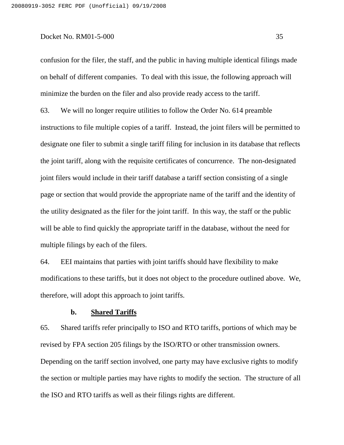confusion for the filer, the staff, and the public in having multiple identical filings made on behalf of different companies. To deal with this issue, the following approach will minimize the burden on the filer and also provide ready access to the tariff.

63. We will no longer require utilities to follow the Order No. 614 preamble instructions to file multiple copies of a tariff. Instead, the joint filers will be permitted to designate one filer to submit a single tariff filing for inclusion in its database that reflects the joint tariff, along with the requisite certificates of concurrence. The non-designated joint filers would include in their tariff database a tariff section consisting of a single page or section that would provide the appropriate name of the tariff and the identity of the utility designated as the filer for the joint tariff. In this way, the staff or the public will be able to find quickly the appropriate tariff in the database, without the need for multiple filings by each of the filers.

64. EEI maintains that parties with joint tariffs should have flexibility to make modifications to these tariffs, but it does not object to the procedure outlined above. We, therefore, will adopt this approach to joint tariffs.

### **b. Shared Tariffs**

65. Shared tariffs refer principally to ISO and RTO tariffs, portions of which may be revised by FPA section 205 filings by the ISO/RTO or other transmission owners. Depending on the tariff section involved, one party may have exclusive rights to modify the section or multiple parties may have rights to modify the section. The structure of all the ISO and RTO tariffs as well as their filings rights are different.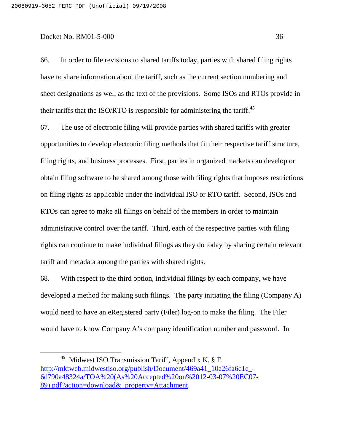66. In order to file revisions to shared tariffs today, parties with shared filing rights have to share information about the tariff, such as the current section numbering and sheet designations as well as the text of the provisions. Some ISOs and RTOs provide in their tariffs that the ISO/RTO is responsible for administering the tariff. **45**

67. The use of electronic filing will provide parties with shared tariffs with greater opportunities to develop electronic filing methods that fit their respective tariff structure, filing rights, and business processes. First, parties in organized markets can develop or obtain filing software to be shared among those with filing rights that imposes restrictions on filing rights as applicable under the individual ISO or RTO tariff. Second, ISOs and RTOs can agree to make all filings on behalf of the members in order to maintain administrative control over the tariff. Third, each of the respective parties with filing rights can continue to make individual filings as they do today by sharing certain relevant tariff and metadata among the parties with shared rights.

68. With respect to the third option, individual filings by each company, we have developed a method for making such filings. The party initiating the filing (Company A) would need to have an eRegistered party (Filer) log-on to make the filing. The Filer would have to know Company A's company identification number and password. In

**<sup>45</sup>** Midwest ISO Transmission Tariff, Appendix K, § F. http://mktweb.midwestiso.org/publish/Document/469a41\_10a26fa6c1e\_-6d790a48324a/TOA%20(As%20Accepted%20on%2012-03-07%20EC07- 89).pdf?action=download&\_property=Attachment.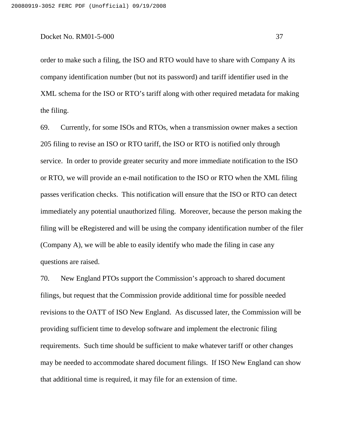order to make such a filing, the ISO and RTO would have to share with Company A its company identification number (but not its password) and tariff identifier used in the XML schema for the ISO or RTO's tariff along with other required metadata for making the filing.

69. Currently, for some ISOs and RTOs, when a transmission owner makes a section 205 filing to revise an ISO or RTO tariff, the ISO or RTO is notified only through service. In order to provide greater security and more immediate notification to the ISO or RTO, we will provide an e-mail notification to the ISO or RTO when the XML filing passes verification checks. This notification will ensure that the ISO or RTO can detect immediately any potential unauthorized filing. Moreover, because the person making the filing will be eRegistered and will be using the company identification number of the filer (Company A), we will be able to easily identify who made the filing in case any questions are raised.

70. New England PTOs support the Commission's approach to shared document filings, but request that the Commission provide additional time for possible needed revisions to the OATT of ISO New England. As discussed later, the Commission will be providing sufficient time to develop software and implement the electronic filing requirements. Such time should be sufficient to make whatever tariff or other changes may be needed to accommodate shared document filings. If ISO New England can show that additional time is required, it may file for an extension of time.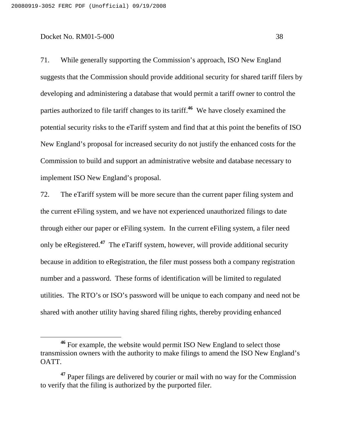71. While generally supporting the Commission's approach, ISO New England suggests that the Commission should provide additional security for shared tariff filers by developing and administering a database that would permit a tariff owner to control the parties authorized to file tariff changes to its tariff. **<sup>46</sup>** We have closely examined the potential security risks to the eTariff system and find that at this point the benefits of ISO New England's proposal for increased security do not justify the enhanced costs for the Commission to build and support an administrative website and database necessary to implement ISO New England's proposal.

72. The eTariff system will be more secure than the current paper filing system and the current eFiling system, and we have not experienced unauthorized filings to date through either our paper or eFiling system. In the current eFiling system, a filer need only be eRegistered. **<sup>47</sup>** The eTariff system, however, will provide additional security because in addition to eRegistration, the filer must possess both a company registration number and a password. These forms of identification will be limited to regulated utilities. The RTO's or ISO's password will be unique to each company and need not be shared with another utility having shared filing rights, thereby providing enhanced

**<sup>46</sup>** For example, the website would permit ISO New England to select those transmission owners with the authority to make filings to amend the ISO New England's OATT.

**<sup>47</sup>** Paper filings are delivered by courier or mail with no way for the Commission to verify that the filing is authorized by the purported filer.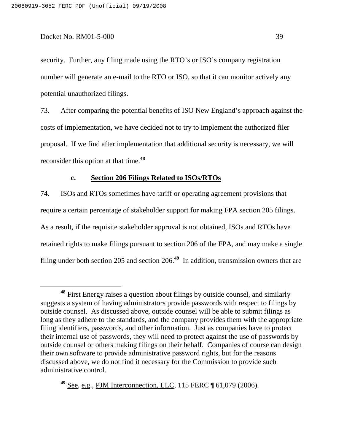security. Further, any filing made using the RTO's or ISO's company registration number will generate an e-mail to the RTO or ISO, so that it can monitor actively any potential unauthorized filings.

73. After comparing the potential benefits of ISO New England's approach against the costs of implementation, we have decided not to try to implement the authorized filer proposal. If we find after implementation that additional security is necessary, we will reconsider this option at that time. **48**

### **c. Section 206 Filings Related to ISOs/RTOs**

74. ISOs and RTOs sometimes have tariff or operating agreement provisions that require a certain percentage of stakeholder support for making FPA section 205 filings. As a result, if the requisite stakeholder approval is not obtained, ISOs and RTOs have retained rights to make filings pursuant to section 206 of the FPA, and may make a single filing under both section 205 and section 206. **<sup>49</sup>** In addition, transmission owners that are

**<sup>49</sup>** See, e.g., PJM Interconnection, LLC, 115 FERC ¶ 61,079 (2006).

**<sup>48</sup>** First Energy raises a question about filings by outside counsel, and similarly suggests a system of having administrators provide passwords with respect to filings by outside counsel. As discussed above, outside counsel will be able to submit filings as long as they adhere to the standards, and the company provides them with the appropriate filing identifiers, passwords, and other information. Just as companies have to protect their internal use of passwords, they will need to protect against the use of passwords by outside counsel or others making filings on their behalf. Companies of course can design their own software to provide administrative password rights, but for the reasons discussed above, we do not find it necessary for the Commission to provide such administrative control.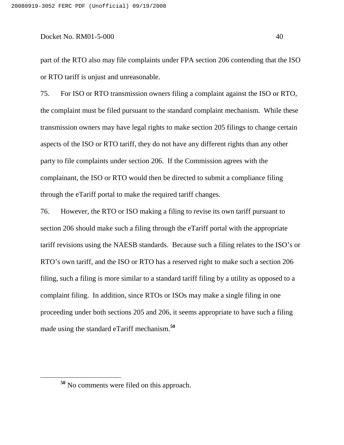part of the RTO also may file complaints under FPA section 206 contending that the ISO or RTO tariff is unjust and unreasonable.

75. For ISO or RTO transmission owners filing a complaint against the ISO or RTO, the complaint must be filed pursuant to the standard complaint mechanism. While these transmission owners may have legal rights to make section 205 filings to change certain aspects of the ISO or RTO tariff, they do not have any different rights than any other party to file complaints under section 206. If the Commission agrees with the complainant, the ISO or RTO would then be directed to submit a compliance filing through the eTariff portal to make the required tariff changes.

76. However, the RTO or ISO making a filing to revise its own tariff pursuant to section 206 should make such a filing through the eTariff portal with the appropriate tariff revisions using the NAESB standards. Because such a filing relates to the ISO's or RTO's own tariff, and the ISO or RTO has a reserved right to make such a section 206 filing, such a filing is more similar to a standard tariff filing by a utility as opposed to a complaint filing. In addition, since RTOs or ISOs may make a single filing in one proceeding under both sections 205 and 206, it seems appropriate to have such a filing made using the standard eTariff mechanism. **50**

**<sup>50</sup>** No comments were filed on this approach.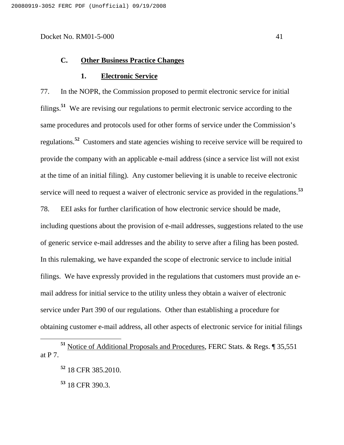# **C. Other Business Practice Changes**

### **1. Electronic Service**

77. In the NOPR, the Commission proposed to permit electronic service for initial filings. **<sup>51</sup>** We are revising our regulations to permit electronic service according to the same procedures and protocols used for other forms of service under the Commission's regulations. **<sup>52</sup>** Customers and state agencies wishing to receive service will be required to provide the company with an applicable e-mail address (since a service list will not exist at the time of an initial filing). Any customer believing it is unable to receive electronic service will need to request a waiver of electronic service as provided in the regulations. **53**

78. EEI asks for further clarification of how electronic service should be made, including questions about the provision of e-mail addresses, suggestions related to the use of generic service e-mail addresses and the ability to serve after a filing has been posted. In this rulemaking, we have expanded the scope of electronic service to include initial filings. We have expressly provided in the regulations that customers must provide an email address for initial service to the utility unless they obtain a waiver of electronic service under Part 390 of our regulations. Other than establishing a procedure for obtaining customer e-mail address, all other aspects of electronic service for initial filings

**<sup>53</sup>** 18 CFR 390.3.

**<sup>51</sup>** Notice of Additional Proposals and Procedures, FERC Stats. & Regs. ¶ 35,551 at P 7.

**<sup>52</sup>** 18 CFR 385.2010.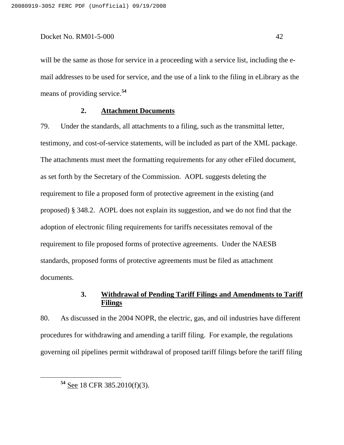will be the same as those for service in a proceeding with a service list, including the email addresses to be used for service, and the use of a link to the filing in eLibrary as the means of providing service. **54**

### **2. Attachment Documents**

79. Under the standards, all attachments to a filing, such as the transmittal letter, testimony, and cost-of-service statements, will be included as part of the XML package. The attachments must meet the formatting requirements for any other eFiled document, as set forth by the Secretary of the Commission. AOPL suggests deleting the requirement to file a proposed form of protective agreement in the existing (and proposed) § 348.2. AOPL does not explain its suggestion, and we do not find that the adoption of electronic filing requirements for tariffs necessitates removal of the requirement to file proposed forms of protective agreements. Under the NAESB standards, proposed forms of protective agreements must be filed as attachment documents.

# **3. Withdrawal of Pending Tariff Filings and Amendments to Tariff Filings**

80. As discussed in the 2004 NOPR, the electric, gas, and oil industries have different procedures for withdrawing and amending a tariff filing. For example, the regulations governing oil pipelines permit withdrawal of proposed tariff filings before the tariff filing

**<sup>54</sup>** See 18 CFR 385.2010(f)(3).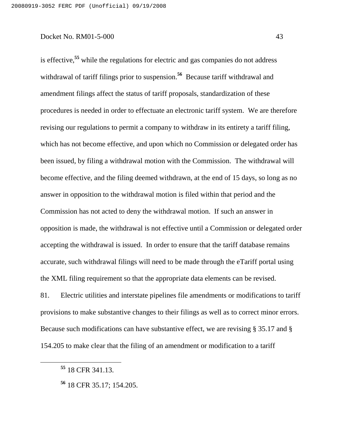is effective, **55** while the regulations for electric and gas companies do not address withdrawal of tariff filings prior to suspension. **<sup>56</sup>** Because tariff withdrawal and amendment filings affect the status of tariff proposals, standardization of these procedures is needed in order to effectuate an electronic tariff system. We are therefore revising our regulations to permit a company to withdraw in its entirety a tariff filing, which has not become effective, and upon which no Commission or delegated order has been issued, by filing a withdrawal motion with the Commission. The withdrawal will become effective, and the filing deemed withdrawn, at the end of 15 days, so long as no answer in opposition to the withdrawal motion is filed within that period and the Commission has not acted to deny the withdrawal motion. If such an answer in opposition is made, the withdrawal is not effective until a Commission or delegated order accepting the withdrawal is issued. In order to ensure that the tariff database remains accurate, such withdrawal filings will need to be made through the eTariff portal using the XML filing requirement so that the appropriate data elements can be revised.

81. Electric utilities and interstate pipelines file amendments or modifications to tariff provisions to make substantive changes to their filings as well as to correct minor errors. Because such modifications can have substantive effect, we are revising § 35.17 and § 154.205 to make clear that the filing of an amendment or modification to a tariff

**<sup>55</sup>** 18 CFR 341.13.

**<sup>56</sup>** 18 CFR 35.17; 154.205.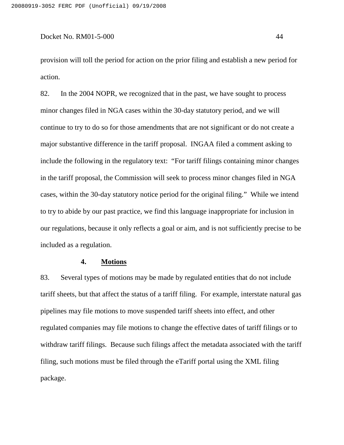provision will toll the period for action on the prior filing and establish a new period for action.

82. In the 2004 NOPR, we recognized that in the past, we have sought to process minor changes filed in NGA cases within the 30-day statutory period, and we will continue to try to do so for those amendments that are not significant or do not create a major substantive difference in the tariff proposal. INGAA filed a comment asking to include the following in the regulatory text: "For tariff filings containing minor changes in the tariff proposal, the Commission will seek to process minor changes filed in NGA cases, within the 30-day statutory notice period for the original filing." While we intend to try to abide by our past practice, we find this language inappropriate for inclusion in our regulations, because it only reflects a goal or aim, and is not sufficiently precise to be included as a regulation.

### **4. Motions**

83. Several types of motions may be made by regulated entities that do not include tariff sheets, but that affect the status of a tariff filing. For example, interstate natural gas pipelines may file motions to move suspended tariff sheets into effect, and other regulated companies may file motions to change the effective dates of tariff filings or to withdraw tariff filings. Because such filings affect the metadata associated with the tariff filing, such motions must be filed through the eTariff portal using the XML filing package.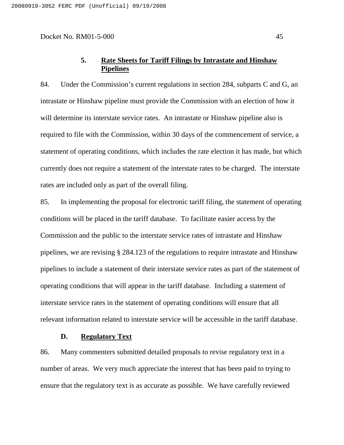# **5. Rate Sheets for Tariff Filings by Intrastate and Hinshaw Pipelines**

84. Under the Commission's current regulations in section 284, subparts C and G, an intrastate or Hinshaw pipeline must provide the Commission with an election of how it will determine its interstate service rates. An intrastate or Hinshaw pipeline also is required to file with the Commission, within 30 days of the commencement of service, a statement of operating conditions, which includes the rate election it has made, but which currently does not require a statement of the interstate rates to be charged. The interstate rates are included only as part of the overall filing.

85. In implementing the proposal for electronic tariff filing, the statement of operating conditions will be placed in the tariff database. To facilitate easier access by the Commission and the public to the interstate service rates of intrastate and Hinshaw pipelines, we are revising § 284.123 of the regulations to require intrastate and Hinshaw pipelines to include a statement of their interstate service rates as part of the statement of operating conditions that will appear in the tariff database. Including a statement of interstate service rates in the statement of operating conditions will ensure that all relevant information related to interstate service will be accessible in the tariff database.

### **D. Regulatory Text**

86. Many commenters submitted detailed proposals to revise regulatory text in a number of areas. We very much appreciate the interest that has been paid to trying to ensure that the regulatory text is as accurate as possible. We have carefully reviewed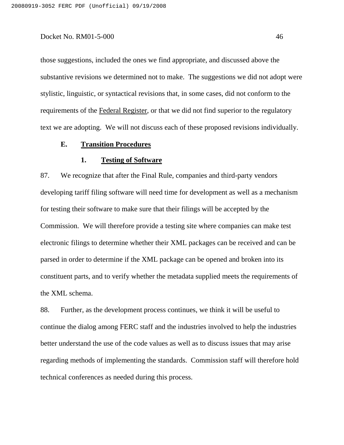those suggestions, included the ones we find appropriate, and discussed above the substantive revisions we determined not to make. The suggestions we did not adopt were stylistic, linguistic, or syntactical revisions that, in some cases, did not conform to the requirements of the Federal Register, or that we did not find superior to the regulatory text we are adopting. We will not discuss each of these proposed revisions individually.

#### **E. Transition Procedures**

### **1. Testing of Software**

87. We recognize that after the Final Rule, companies and third-party vendors developing tariff filing software will need time for development as well as a mechanism for testing their software to make sure that their filings will be accepted by the Commission. We will therefore provide a testing site where companies can make test electronic filings to determine whether their XML packages can be received and can be parsed in order to determine if the XML package can be opened and broken into its constituent parts, and to verify whether the metadata supplied meets the requirements of the XML schema.

88. Further, as the development process continues, we think it will be useful to continue the dialog among FERC staff and the industries involved to help the industries better understand the use of the code values as well as to discuss issues that may arise regarding methods of implementing the standards. Commission staff will therefore hold technical conferences as needed during this process.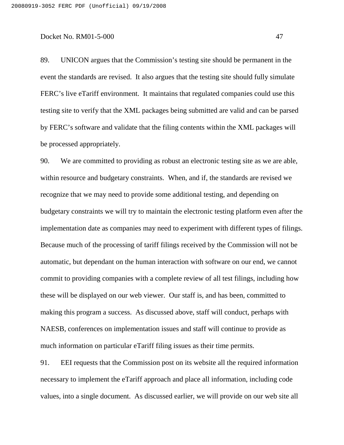89. UNICON argues that the Commission's testing site should be permanent in the event the standards are revised. It also argues that the testing site should fully simulate FERC's live eTariff environment. It maintains that regulated companies could use this testing site to verify that the XML packages being submitted are valid and can be parsed by FERC's software and validate that the filing contents within the XML packages will be processed appropriately.

90. We are committed to providing as robust an electronic testing site as we are able, within resource and budgetary constraints. When, and if, the standards are revised we recognize that we may need to provide some additional testing, and depending on budgetary constraints we will try to maintain the electronic testing platform even after the implementation date as companies may need to experiment with different types of filings. Because much of the processing of tariff filings received by the Commission will not be automatic, but dependant on the human interaction with software on our end, we cannot commit to providing companies with a complete review of all test filings, including how these will be displayed on our web viewer. Our staff is, and has been, committed to making this program a success. As discussed above, staff will conduct, perhaps with NAESB, conferences on implementation issues and staff will continue to provide as much information on particular eTariff filing issues as their time permits.

91. EEI requests that the Commission post on its website all the required information necessary to implement the eTariff approach and place all information, including code values, into a single document. As discussed earlier, we will provide on our web site all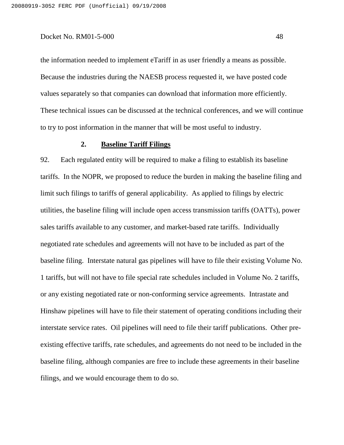the information needed to implement eTariff in as user friendly a means as possible. Because the industries during the NAESB process requested it, we have posted code values separately so that companies can download that information more efficiently. These technical issues can be discussed at the technical conferences, and we will continue to try to post information in the manner that will be most useful to industry.

### **2. Baseline Tariff Filings**

92. Each regulated entity will be required to make a filing to establish its baseline tariffs. In the NOPR, we proposed to reduce the burden in making the baseline filing and limit such filings to tariffs of general applicability. As applied to filings by electric utilities, the baseline filing will include open access transmission tariffs (OATTs), power sales tariffs available to any customer, and market-based rate tariffs. Individually negotiated rate schedules and agreements will not have to be included as part of the baseline filing. Interstate natural gas pipelines will have to file their existing Volume No. 1 tariffs, but will not have to file special rate schedules included in Volume No. 2 tariffs, or any existing negotiated rate or non-conforming service agreements. Intrastate and Hinshaw pipelines will have to file their statement of operating conditions including their interstate service rates. Oil pipelines will need to file their tariff publications. Other preexisting effective tariffs, rate schedules, and agreements do not need to be included in the baseline filing, although companies are free to include these agreements in their baseline filings, and we would encourage them to do so.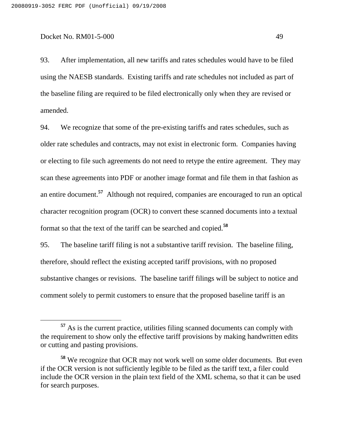93. After implementation, all new tariffs and rates schedules would have to be filed using the NAESB standards. Existing tariffs and rate schedules not included as part of the baseline filing are required to be filed electronically only when they are revised or amended.

94. We recognize that some of the pre-existing tariffs and rates schedules, such as older rate schedules and contracts, may not exist in electronic form. Companies having or electing to file such agreements do not need to retype the entire agreement. They may scan these agreements into PDF or another image format and file them in that fashion as an entire document. **<sup>57</sup>** Although not required, companies are encouraged to run an optical character recognition program (OCR) to convert these scanned documents into a textual format so that the text of the tariff can be searched and copied. **58**

95. The baseline tariff filing is not a substantive tariff revision. The baseline filing, therefore, should reflect the existing accepted tariff provisions, with no proposed substantive changes or revisions. The baseline tariff filings will be subject to notice and comment solely to permit customers to ensure that the proposed baseline tariff is an

**<sup>57</sup>** As is the current practice, utilities filing scanned documents can comply with the requirement to show only the effective tariff provisions by making handwritten edits or cutting and pasting provisions.

**<sup>58</sup>** We recognize that OCR may not work well on some older documents. But even if the OCR version is not sufficiently legible to be filed as the tariff text, a filer could include the OCR version in the plain text field of the XML schema, so that it can be used for search purposes.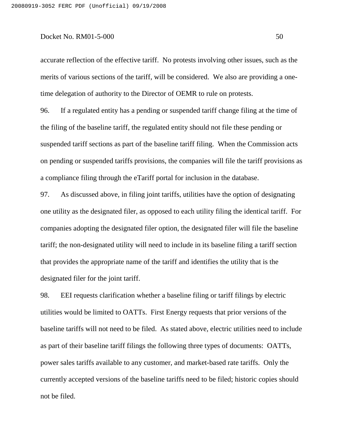accurate reflection of the effective tariff. No protests involving other issues, such as the merits of various sections of the tariff, will be considered. We also are providing a onetime delegation of authority to the Director of OEMR to rule on protests.

96. If a regulated entity has a pending or suspended tariff change filing at the time of the filing of the baseline tariff, the regulated entity should not file these pending or suspended tariff sections as part of the baseline tariff filing. When the Commission acts on pending or suspended tariffs provisions, the companies will file the tariff provisions as a compliance filing through the eTariff portal for inclusion in the database.

97. As discussed above, in filing joint tariffs, utilities have the option of designating one utility as the designated filer, as opposed to each utility filing the identical tariff. For companies adopting the designated filer option, the designated filer will file the baseline tariff; the non-designated utility will need to include in its baseline filing a tariff section that provides the appropriate name of the tariff and identifies the utility that is the designated filer for the joint tariff.

98. EEI requests clarification whether a baseline filing or tariff filings by electric utilities would be limited to OATTs. First Energy requests that prior versions of the baseline tariffs will not need to be filed. As stated above, electric utilities need to include as part of their baseline tariff filings the following three types of documents: OATTs, power sales tariffs available to any customer, and market-based rate tariffs. Only the currently accepted versions of the baseline tariffs need to be filed; historic copies should not be filed.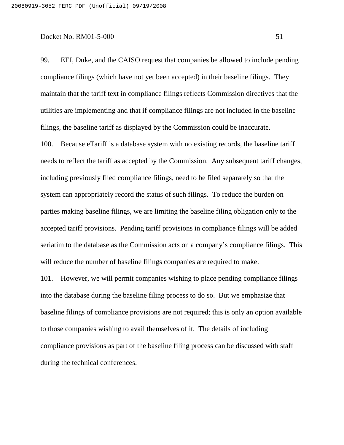99. EEI, Duke, and the CAISO request that companies be allowed to include pending compliance filings (which have not yet been accepted) in their baseline filings. They maintain that the tariff text in compliance filings reflects Commission directives that the utilities are implementing and that if compliance filings are not included in the baseline filings, the baseline tariff as displayed by the Commission could be inaccurate.

100. Because eTariff is a database system with no existing records, the baseline tariff needs to reflect the tariff as accepted by the Commission. Any subsequent tariff changes, including previously filed compliance filings, need to be filed separately so that the system can appropriately record the status of such filings. To reduce the burden on parties making baseline filings, we are limiting the baseline filing obligation only to the accepted tariff provisions. Pending tariff provisions in compliance filings will be added seriatim to the database as the Commission acts on a company's compliance filings. This will reduce the number of baseline filings companies are required to make.

101. However, we will permit companies wishing to place pending compliance filings into the database during the baseline filing process to do so. But we emphasize that baseline filings of compliance provisions are not required; this is only an option available to those companies wishing to avail themselves of it. The details of including compliance provisions as part of the baseline filing process can be discussed with staff during the technical conferences.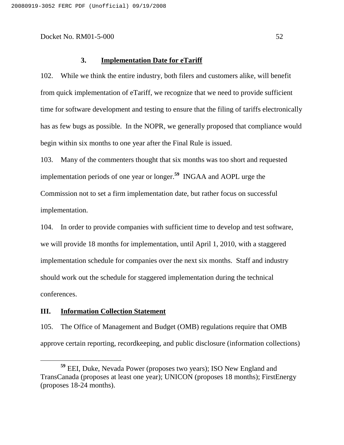### **3. Implementation Date for eTariff**

102. While we think the entire industry, both filers and customers alike, will benefit from quick implementation of eTariff, we recognize that we need to provide sufficient time for software development and testing to ensure that the filing of tariffs electronically has as few bugs as possible. In the NOPR, we generally proposed that compliance would begin within six months to one year after the Final Rule is issued.

103. Many of the commenters thought that six months was too short and requested implementation periods of one year or longer. **<sup>59</sup>** INGAA and AOPL urge the Commission not to set a firm implementation date, but rather focus on successful implementation.

104. In order to provide companies with sufficient time to develop and test software, we will provide 18 months for implementation, until April 1, 2010, with a staggered implementation schedule for companies over the next six months. Staff and industry should work out the schedule for staggered implementation during the technical conferences.

### **III. Information Collection Statement**

105. The Office of Management and Budget (OMB) regulations require that OMB approve certain reporting, recordkeeping, and public disclosure (information collections)

**<sup>59</sup>** EEI, Duke, Nevada Power (proposes two years); ISO New England and TransCanada (proposes at least one year); UNICON (proposes 18 months); FirstEnergy (proposes 18-24 months).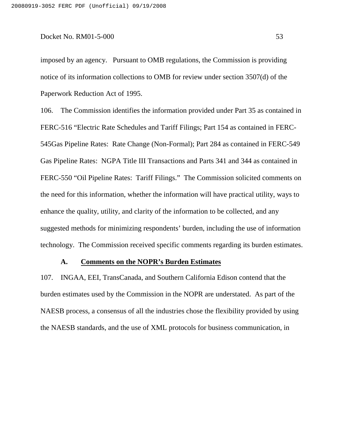imposed by an agency. Pursuant to OMB regulations, the Commission is providing notice of its information collections to OMB for review under section 3507(d) of the Paperwork Reduction Act of 1995.

106. The Commission identifies the information provided under Part 35 as contained in FERC-516 "Electric Rate Schedules and Tariff Filings; Part 154 as contained in FERC-545Gas Pipeline Rates: Rate Change (Non-Formal); Part 284 as contained in FERC-549 Gas Pipeline Rates: NGPA Title III Transactions and Parts 341 and 344 as contained in FERC-550 "Oil Pipeline Rates: Tariff Filings." The Commission solicited comments on the need for this information, whether the information will have practical utility, ways to enhance the quality, utility, and clarity of the information to be collected, and any suggested methods for minimizing respondents' burden, including the use of information technology. The Commission received specific comments regarding its burden estimates.

### **A. Comments on the NOPR's Burden Estimates**

107. INGAA, EEI, TransCanada, and Southern California Edison contend that the burden estimates used by the Commission in the NOPR are understated. As part of the NAESB process, a consensus of all the industries chose the flexibility provided by using the NAESB standards, and the use of XML protocols for business communication, in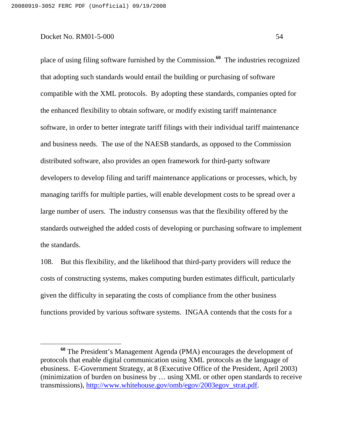place of using filing software furnished by the Commission. **<sup>60</sup>** The industries recognized that adopting such standards would entail the building or purchasing of software compatible with the XML protocols. By adopting these standards, companies opted for the enhanced flexibility to obtain software, or modify existing tariff maintenance software, in order to better integrate tariff filings with their individual tariff maintenance and business needs. The use of the NAESB standards, as opposed to the Commission distributed software, also provides an open framework for third-party software developers to develop filing and tariff maintenance applications or processes, which, by managing tariffs for multiple parties, will enable development costs to be spread over a large number of users. The industry consensus was that the flexibility offered by the standards outweighed the added costs of developing or purchasing software to implement the standards.

108. But this flexibility, and the likelihood that third-party providers will reduce the costs of constructing systems, makes computing burden estimates difficult, particularly given the difficulty in separating the costs of compliance from the other business functions provided by various software systems. INGAA contends that the costs for a

**<sup>60</sup>** The President's Management Agenda (PMA) encourages the development of protocols that enable digital communication using XML protocols as the language of ebusiness. E-Government Strategy, at 8 (Executive Office of the President, April 2003) (minimization of burden on business by … using XML or other open standards to receive transmissions), http://www.whitehouse.gov/omb/egov/2003egov\_strat.pdf.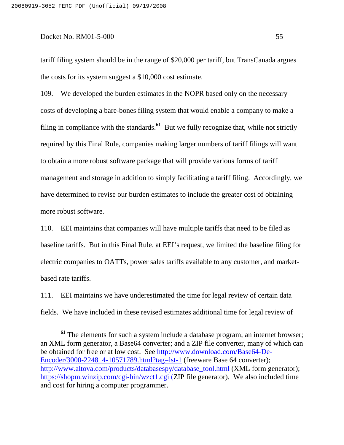tariff filing system should be in the range of \$20,000 per tariff, but TransCanada argues the costs for its system suggest a \$10,000 cost estimate.

109. We developed the burden estimates in the NOPR based only on the necessary costs of developing a bare-bones filing system that would enable a company to make a filing in compliance with the standards.<sup>61</sup> But we fully recognize that, while not strictly required by this Final Rule, companies making larger numbers of tariff filings will want to obtain a more robust software package that will provide various forms of tariff management and storage in addition to simply facilitating a tariff filing. Accordingly, we have determined to revise our burden estimates to include the greater cost of obtaining more robust software.

110. EEI maintains that companies will have multiple tariffs that need to be filed as baseline tariffs. But in this Final Rule, at EEI's request, we limited the baseline filing for electric companies to OATTs, power sales tariffs available to any customer, and marketbased rate tariffs.

111. EEI maintains we have underestimated the time for legal review of certain data fields. We have included in these revised estimates additional time for legal review of

<sup>&</sup>lt;sup>61</sup> The elements for such a system include a database program; an internet browser; an XML form generator, a Base64 converter; and a ZIP file converter, many of which can be obtained for free or at low cost. See http://www.download.com/Base64-De-Encoder/3000-2248 4-10571789.html?tag=lst-1 (freeware Base 64 converter); http://www.altova.com/products/databasespy/database\_tool.html (XML form generator); https://shopm.winzip.com/cgi-bin/wzct1.cgi (ZIP file generator). We also included time and cost for hiring a computer programmer.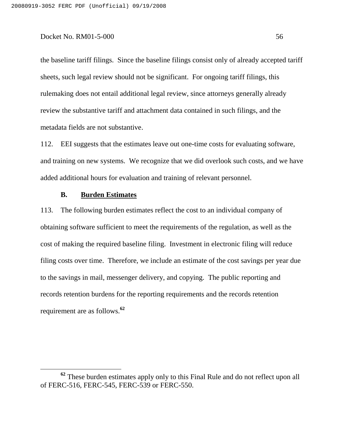the baseline tariff filings. Since the baseline filings consist only of already accepted tariff sheets, such legal review should not be significant. For ongoing tariff filings, this rulemaking does not entail additional legal review, since attorneys generally already review the substantive tariff and attachment data contained in such filings, and the metadata fields are not substantive.

112. EEI suggests that the estimates leave out one-time costs for evaluating software, and training on new systems. We recognize that we did overlook such costs, and we have added additional hours for evaluation and training of relevant personnel.

# **B. Burden Estimates**

113. The following burden estimates reflect the cost to an individual company of obtaining software sufficient to meet the requirements of the regulation, as well as the cost of making the required baseline filing. Investment in electronic filing will reduce filing costs over time. Therefore, we include an estimate of the cost savings per year due to the savings in mail, messenger delivery, and copying. The public reporting and records retention burdens for the reporting requirements and the records retention requirement are as follows. **62**

**<sup>62</sup>** These burden estimates apply only to this Final Rule and do not reflect upon all of FERC-516, FERC-545, FERC-539 or FERC-550.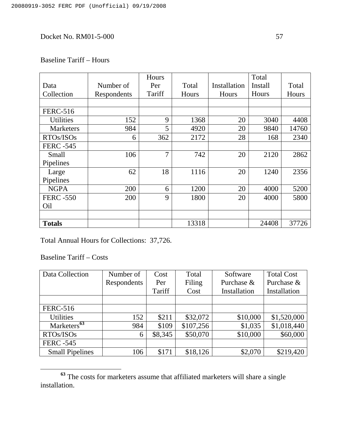# Baseline Tariff – Hours

|                  |             | Hours  |       |              | Total   |       |
|------------------|-------------|--------|-------|--------------|---------|-------|
| Data             | Number of   | Per    | Total | Installation | Install | Total |
| Collection       | Respondents | Tariff | Hours | Hours        | Hours   | Hours |
|                  |             |        |       |              |         |       |
| <b>FERC-516</b>  |             |        |       |              |         |       |
| <b>Utilities</b> | 152         | 9      | 1368  | 20           | 3040    | 4408  |
| <b>Marketers</b> | 984         | 5      | 4920  | 20           | 9840    | 14760 |
| RTOs/ISOs        | 6           | 362    | 2172  | 28           | 168     | 2340  |
| <b>FERC -545</b> |             |        |       |              |         |       |
| <b>Small</b>     | 106         | 7      | 742   | 20           | 2120    | 2862  |
| Pipelines        |             |        |       |              |         |       |
| Large            | 62          | 18     | 1116  | 20           | 1240    | 2356  |
| Pipelines        |             |        |       |              |         |       |
| <b>NGPA</b>      | 200         | 6      | 1200  | 20           | 4000    | 5200  |
| <b>FERC -550</b> | 200         | 9      | 1800  | 20           | 4000    | 5800  |
| Oil              |             |        |       |              |         |       |
|                  |             |        |       |              |         |       |
| <b>Totals</b>    |             |        | 13318 |              | 24408   | 37726 |

Total Annual Hours for Collections: 37,726.

Baseline Tariff – Costs

| Data Collection         | Number of   | Cost    | Total     | Software     | <b>Total Cost</b> |
|-------------------------|-------------|---------|-----------|--------------|-------------------|
|                         | Respondents | Per     | Filing    | Purchase &   | Purchase &        |
|                         |             | Tariff  | Cost      | Installation | Installation      |
|                         |             |         |           |              |                   |
| <b>FERC-516</b>         |             |         |           |              |                   |
| <b>Utilities</b>        | 152         | \$211   | \$32,072  | \$10,000     | \$1,520,000       |
| Marketers <sup>63</sup> | 984         | \$109   | \$107,256 | \$1,035      | \$1,018,440       |
| RTOs/ISOs               | 6           | \$8,345 | \$50,070  | \$10,000     | \$60,000          |
| <b>FERC -545</b>        |             |         |           |              |                   |
| <b>Small Pipelines</b>  | 106         | \$171   | \$18,126  | \$2,070      | \$219,420         |

**<sup>63</sup>** The costs for marketers assume that affiliated marketers will share a single installation.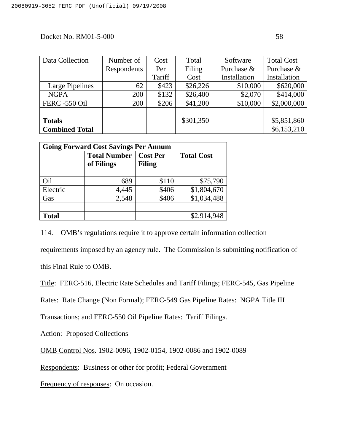| Data Collection       | Number of   | Cost   | Total     | Software     | <b>Total Cost</b> |
|-----------------------|-------------|--------|-----------|--------------|-------------------|
|                       | Respondents | Per    | Filing    | Purchase &   | Purchase &        |
|                       |             | Tariff | Cost      | Installation | Installation      |
| Large Pipelines       | 62          | \$423  | \$26,226  | \$10,000     | \$620,000         |
| <b>NGPA</b>           | 200         | \$132  | \$26,400  | \$2,070      | \$414,000         |
| <b>FERC -550 Oil</b>  | 200         | \$206  | \$41,200  | \$10,000     | \$2,000,000       |
|                       |             |        |           |              |                   |
| <b>Totals</b>         |             |        | \$301,350 |              | \$5,851,860       |
| <b>Combined Total</b> |             |        |           |              | \$6,153,210       |

| <b>Going Forward Cost Savings Per Annum</b> |                                   |                           |                   |
|---------------------------------------------|-----------------------------------|---------------------------|-------------------|
|                                             | <b>Total Number</b><br>of Filings | <b>Cost Per</b><br>Filing | <b>Total Cost</b> |
|                                             |                                   |                           |                   |
| Oil                                         | 689                               | \$110                     | \$75,790          |
| Electric                                    | 4,445                             | \$406                     | \$1,804,670       |
| Gas                                         | 2,548                             | \$406                     | \$1,034,488       |
|                                             |                                   |                           |                   |
| <b>Total</b>                                |                                   |                           | \$2,914,948       |

114. OMB's regulations require it to approve certain information collection

requirements imposed by an agency rule. The Commission is submitting notification of

this Final Rule to OMB.

Title: FERC-516, Electric Rate Schedules and Tariff Filings; FERC-545, Gas Pipeline

Rates: Rate Change (Non Formal); FERC-549 Gas Pipeline Rates: NGPA Title III

Transactions; and FERC-550 Oil Pipeline Rates: Tariff Filings.

Action: Proposed Collections

OMB Control Nos*.* 1902-0096, 1902-0154, 1902-0086 and 1902-0089

Respondents: Business or other for profit; Federal Government

Frequency of responses: On occasion.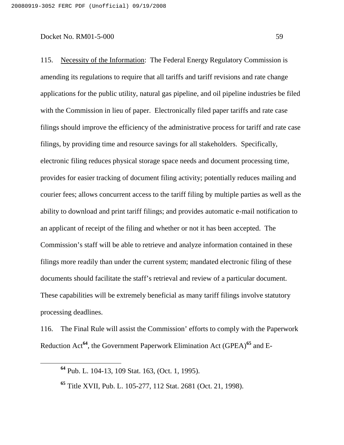115. Necessity of the Information: The Federal Energy Regulatory Commission is amending its regulations to require that all tariffs and tariff revisions and rate change applications for the public utility, natural gas pipeline, and oil pipeline industries be filed with the Commission in lieu of paper. Electronically filed paper tariffs and rate case filings should improve the efficiency of the administrative process for tariff and rate case filings, by providing time and resource savings for all stakeholders. Specifically, electronic filing reduces physical storage space needs and document processing time, provides for easier tracking of document filing activity; potentially reduces mailing and courier fees; allows concurrent access to the tariff filing by multiple parties as well as the ability to download and print tariff filings; and provides automatic e-mail notification to an applicant of receipt of the filing and whether or not it has been accepted. The Commission's staff will be able to retrieve and analyze information contained in these filings more readily than under the current system; mandated electronic filing of these documents should facilitate the staff's retrieval and review of a particular document. These capabilities will be extremely beneficial as many tariff filings involve statutory processing deadlines.

116. The Final Rule will assist the Commission' efforts to comply with the Paperwork Reduction Act **64** , the Government Paperwork Elimination Act (GPEA) **<sup>65</sup>** and E-

**<sup>64</sup>** Pub. L. 104-13, 109 Stat. 163, (Oct. 1, 1995).

**<sup>65</sup>** Title XVII, Pub. L. 105-277, 112 Stat. 2681 (Oct. 21, 1998).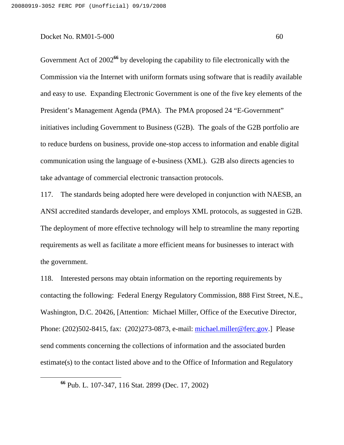Government Act of 2002<sup>66</sup> by developing the capability to file electronically with the Commission via the Internet with uniform formats using software that is readily available and easy to use. Expanding Electronic Government is one of the five key elements of the President's Management Agenda (PMA). The PMA proposed 24 "E-Government" initiatives including Government to Business (G2B). The goals of the G2B portfolio are to reduce burdens on business, provide one-stop access to information and enable digital communication using the language of e-business (XML). G2B also directs agencies to take advantage of commercial electronic transaction protocols.

117. The standards being adopted here were developed in conjunction with NAESB, an ANSI accredited standards developer, and employs XML protocols, as suggested in G2B. The deployment of more effective technology will help to streamline the many reporting requirements as well as facilitate a more efficient means for businesses to interact with the government.

118. Interested persons may obtain information on the reporting requirements by contacting the following: Federal Energy Regulatory Commission, 888 First Street, N.E., Washington, D.C. 20426, [Attention: Michael Miller, Office of the Executive Director, Phone: (202)502-8415, fax: (202)273-0873, e-mail: michael.miller@ferc.gov.] Please send comments concerning the collections of information and the associated burden estimate(s) to the contact listed above and to the Office of Information and Regulatory

**<sup>66</sup>** Pub. L. 107-347, 116 Stat. 2899 (Dec. 17, 2002)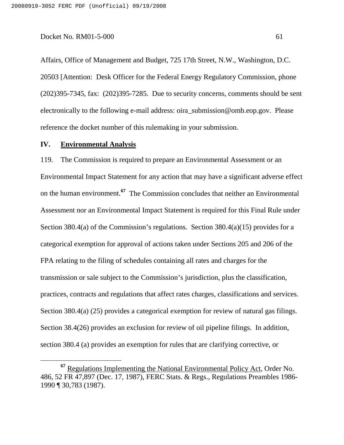Affairs, Office of Management and Budget, 725 17th Street, N.W., Washington, D.C. 20503 [Attention: Desk Officer for the Federal Energy Regulatory Commission, phone (202)395-7345, fax: (202)395-7285. Due to security concerns, comments should be sent electronically to the following e-mail address: oira\_submission@omb.eop.gov. Please reference the docket number of this rulemaking in your submission.

### **IV. Environmental Analysis**

119. The Commission is required to prepare an Environmental Assessment or an Environmental Impact Statement for any action that may have a significant adverse effect on the human environment. **<sup>67</sup>** The Commission concludes that neither an Environmental Assessment nor an Environmental Impact Statement is required for this Final Rule under Section 380.4(a) of the Commission's regulations. Section 380.4(a)(15) provides for a categorical exemption for approval of actions taken under Sections 205 and 206 of the FPA relating to the filing of schedules containing all rates and charges for the transmission or sale subject to the Commission's jurisdiction, plus the classification, practices, contracts and regulations that affect rates charges, classifications and services. Section 380.4(a) (25) provides a categorical exemption for review of natural gas filings. Section 38.4(26) provides an exclusion for review of oil pipeline filings. In addition, section 380.4 (a) provides an exemption for rules that are clarifying corrective, or

**<sup>67</sup>** Regulations Implementing the National Environmental Policy Act, Order No. 486, 52 FR 47,897 (Dec. 17, 1987), FERC Stats. & Regs., Regulations Preambles 1986- 1990 ¶ 30,783 (1987).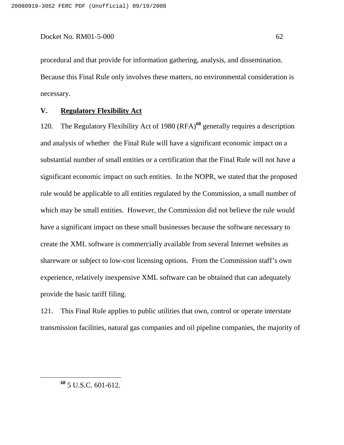procedural and that provide for information gathering, analysis, and dissemination. Because this Final Rule only involves these matters, no environmental consideration is necessary.

### **V. Regulatory Flexibility Act**

120. The Regulatory Flexibility Act of 1980 (RFA) **<sup>68</sup>** generally requires a description and analysis of whether the Final Rule will have a significant economic impact on a substantial number of small entities or a certification that the Final Rule will not have a significant economic impact on such entities. In the NOPR, we stated that the proposed rule would be applicable to all entities regulated by the Commission, a small number of which may be small entities. However, the Commission did not believe the rule would have a significant impact on these small businesses because the software necessary to create the XML software is commercially available from several Internet websites as shareware or subject to low-cost licensing options. From the Commission staff's own experience, relatively inexpensive XML software can be obtained that can adequately provide the basic tariff filing.

121. This Final Rule applies to public utilities that own, control or operate interstate transmission facilities, natural gas companies and oil pipeline companies, the majority of

**<sup>68</sup>** 5 U.S.C. 601-612.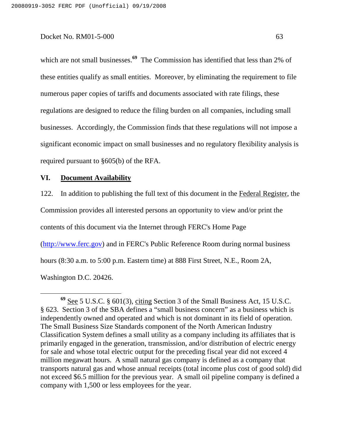which are not small businesses.<sup>69</sup> The Commission has identified that less than 2% of these entities qualify as small entities. Moreover, by eliminating the requirement to file numerous paper copies of tariffs and documents associated with rate filings, these regulations are designed to reduce the filing burden on all companies, including small businesses. Accordingly, the Commission finds that these regulations will not impose a significant economic impact on small businesses and no regulatory flexibility analysis is required pursuant to §605(b) of the RFA.

### **VI. Document Availability**

122. In addition to publishing the full text of this document in the Federal Register, the Commission provides all interested persons an opportunity to view and/or print the contents of this document via the Internet through FERC's Home Page (http://www.ferc.gov) and in FERC's Public Reference Room during normal business hours (8:30 a.m. to 5:00 p.m. Eastern time) at 888 First Street, N.E., Room 2A, Washington D.C. 20426.

**<sup>69</sup>** See 5 U.S.C. § 601(3), citing Section 3 of the Small Business Act, 15 U.S.C. § 623. Section 3 of the SBA defines a "small business concern" as a business which is independently owned and operated and which is not dominant in its field of operation. The Small Business Size Standards component of the North American Industry Classification System defines a small utility as a company including its affiliates that is primarily engaged in the generation, transmission, and/or distribution of electric energy for sale and whose total electric output for the preceding fiscal year did not exceed 4 million megawatt hours. A small natural gas company is defined as a company that transports natural gas and whose annual receipts (total income plus cost of good sold) did not exceed \$6.5 million for the previous year. A small oil pipeline company is defined a company with 1,500 or less employees for the year.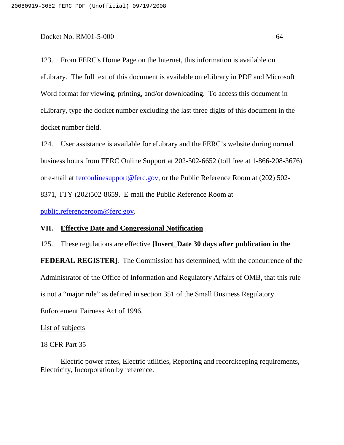123. From FERC's Home Page on the Internet, this information is available on eLibrary. The full text of this document is available on eLibrary in PDF and Microsoft Word format for viewing, printing, and/or downloading. To access this document in eLibrary, type the docket number excluding the last three digits of this document in the docket number field.

124. User assistance is available for eLibrary and the FERC's website during normal business hours from FERC Online Support at 202-502-6652 (toll free at 1-866-208-3676) or e-mail at ferconlinesupport@ferc.gov, or the Public Reference Room at (202) 502- 8371, TTY (202)502-8659. E-mail the Public Reference Room at

public.referenceroom@ferc.gov.

### **VII. Effective Date and Congressional Notification**

125. These regulations are effective **[Insert\_Date 30 days after publication in the FEDERAL REGISTER]**. The Commission has determined, with the concurrence of the Administrator of the Office of Information and Regulatory Affairs of OMB, that this rule is not a "major rule" as defined in section 351 of the Small Business Regulatory Enforcement Fairness Act of 1996.

### List of subjects

### 18 CFR Part 35

Electric power rates, Electric utilities, Reporting and recordkeeping requirements, Electricity, Incorporation by reference.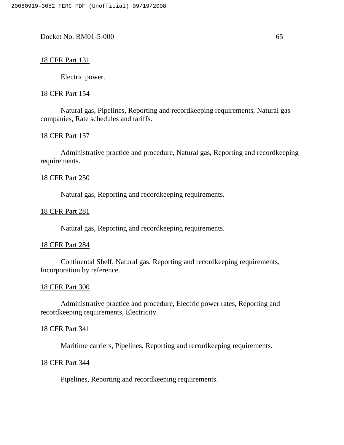# 18 CFR Part 131

Electric power.

### 18 CFR Part 154

Natural gas, Pipelines, Reporting and recordkeeping requirements, Natural gas companies, Rate schedules and tariffs.

### 18 CFR Part 157

Administrative practice and procedure, Natural gas, Reporting and recordkeeping requirements.

# 18 CFR Part 250

Natural gas, Reporting and recordkeeping requirements.

### 18 CFR Part 281

Natural gas, Reporting and recordkeeping requirements.

### 18 CFR Part 284

Continental Shelf, Natural gas, Reporting and recordkeeping requirements, Incorporation by reference.

### 18 CFR Part 300

Administrative practice and procedure, Electric power rates, Reporting and recordkeeping requirements, Electricity.

# 18 CFR Part 341

Maritime carriers, Pipelines, Reporting and recordkeeping requirements.

### 18 CFR Part 344

Pipelines, Reporting and recordkeeping requirements.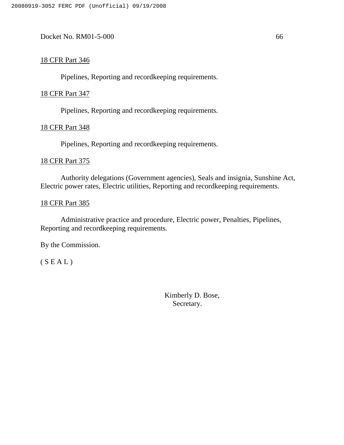# 18 CFR Part 346

Pipelines, Reporting and recordkeeping requirements.

# 18 CFR Part 347

Pipelines, Reporting and recordkeeping requirements.

# 18 CFR Part 348

Pipelines, Reporting and recordkeeping requirements.

# 18 CFR Part 375

Authority delegations (Government agencies), Seals and insignia, Sunshine Act, Electric power rates, Electric utilities, Reporting and recordkeeping requirements.

# 18 CFR Part 385

Administrative practice and procedure, Electric power, Penalties, Pipelines, Reporting and recordkeeping requirements.

By the Commission.

( S E A L )

Kimberly D. Bose, Secretary.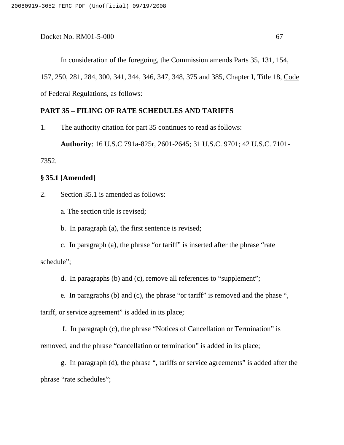In consideration of the foregoing, the Commission amends Parts 35, 131, 154, 157, 250, 281, 284, 300, 341, 344, 346, 347, 348, 375 and 385, Chapter I, Title 18, Code of Federal Regulations, as follows:

# **PART 35 – FILING OF RATE SCHEDULES AND TARIFFS**

1. The authority citation for part 35 continues to read as follows:

**Authority**: 16 U.S.C 791a-825r, 2601-2645; 31 U.S.C. 9701; 42 U.S.C. 7101-

7352.

### **§ 35.1 [Amended]**

2. Section 35.1 is amended as follows:

a. The section title is revised;

b. In paragraph (a), the first sentence is revised;

c. In paragraph (a), the phrase "or tariff" is inserted after the phrase "rate schedule";

d. In paragraphs (b) and (c), remove all references to "supplement";

e. In paragraphs (b) and (c), the phrase "or tariff" is removed and the phase ",

tariff, or service agreement" is added in its place;

f. In paragraph (c), the phrase "Notices of Cancellation or Termination" is removed, and the phrase "cancellation or termination" is added in its place;

g. In paragraph (d), the phrase ", tariffs or service agreements" is added after the phrase "rate schedules";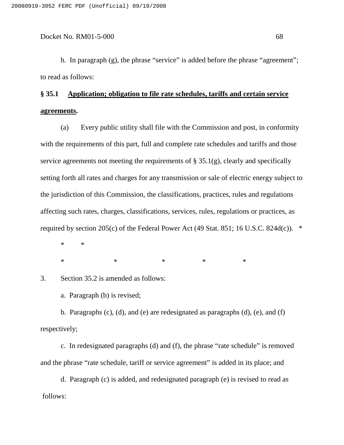h. In paragraph (g), the phrase "service" is added before the phrase "agreement"; to read as follows:

# **§ 35.1 Application; obligation to file rate schedules, tariffs and certain service agreements.**

(a) Every public utility shall file with the Commission and post, in conformity with the requirements of this part, full and complete rate schedules and tariffs and those service agreements not meeting the requirements of  $\S 35.1(g)$ , clearly and specifically setting forth all rates and charges for any transmission or sale of electric energy subject to the jurisdiction of this Commission, the classifications, practices, rules and regulations affecting such rates, charges, classifications, services, rules, regulations or practices, as required by section 205(c) of the Federal Power Act (49 Stat. 851; 16 U.S.C. 824d(c)).  $*$ 

\* \*

 $*$  \* \* \* \* \*

3. Section 35.2 is amended as follows:

a. Paragraph (b) is revised;

b. Paragraphs (c), (d), and (e) are redesignated as paragraphs (d), (e), and (f) respectively;

c. In redesignated paragraphs (d) and (f), the phrase "rate schedule" is removed and the phrase "rate schedule, tariff or service agreement" is added in its place; and

d. Paragraph (c) is added, and redesignated paragraph (e) is revised to read as follows: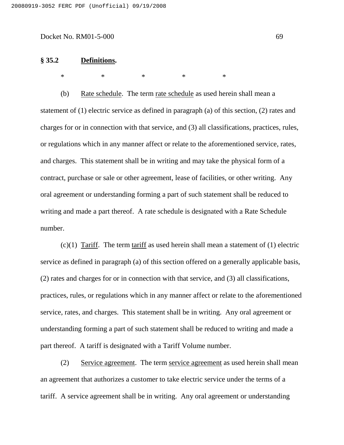#### **§ 35.2 Definitions.**

\* \* \* \* \* \* \*

(b) Rate schedule. The term rate schedule as used herein shall mean a statement of (1) electric service as defined in paragraph (a) of this section, (2) rates and charges for or in connection with that service, and (3) all classifications, practices, rules, or regulations which in any manner affect or relate to the aforementioned service, rates, and charges. This statement shall be in writing and may take the physical form of a contract, purchase or sale or other agreement, lease of facilities, or other writing. Any oral agreement or understanding forming a part of such statement shall be reduced to writing and made a part thereof. A rate schedule is designated with a Rate Schedule number.

 $(c)(1)$  Tariff. The term tariff as used herein shall mean a statement of  $(1)$  electric service as defined in paragraph (a) of this section offered on a generally applicable basis, (2) rates and charges for or in connection with that service, and (3) all classifications, practices, rules, or regulations which in any manner affect or relate to the aforementioned service, rates, and charges. This statement shall be in writing. Any oral agreement or understanding forming a part of such statement shall be reduced to writing and made a part thereof. A tariff is designated with a Tariff Volume number.

(2) Service agreement. The term service agreement as used herein shall mean an agreement that authorizes a customer to take electric service under the terms of a tariff. A service agreement shall be in writing. Any oral agreement or understanding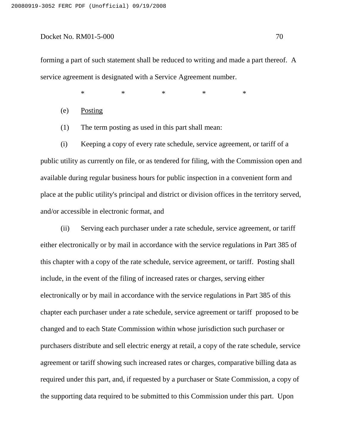forming a part of such statement shall be reduced to writing and made a part thereof. A service agreement is designated with a Service Agreement number.

\* \* \* \* \* \* \*

(e) Posting

(1) The term posting as used in this part shall mean:

(i) Keeping a copy of every rate schedule, service agreement, or tariff of a public utility as currently on file, or as tendered for filing, with the Commission open and available during regular business hours for public inspection in a convenient form and place at the public utility's principal and district or division offices in the territory served, and/or accessible in electronic format, and

(ii) Serving each purchaser under a rate schedule, service agreement, or tariff either electronically or by mail in accordance with the service regulations in Part 385 of this chapter with a copy of the rate schedule, service agreement, or tariff. Posting shall include, in the event of the filing of increased rates or charges, serving either electronically or by mail in accordance with the service regulations in Part 385 of this chapter each purchaser under a rate schedule, service agreement or tariff proposed to be changed and to each State Commission within whose jurisdiction such purchaser or purchasers distribute and sell electric energy at retail, a copy of the rate schedule, service agreement or tariff showing such increased rates or charges, comparative billing data as required under this part, and, if requested by a purchaser or State Commission, a copy of the supporting data required to be submitted to this Commission under this part. Upon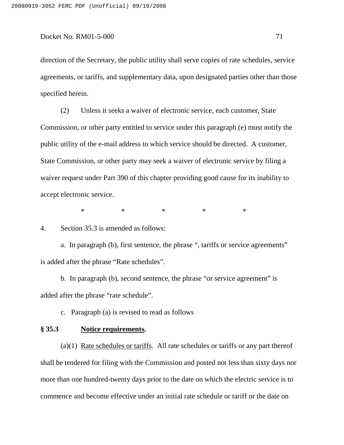direction of the Secretary, the public utility shall serve copies of rate schedules, service agreements, or tariffs, and supplementary data, upon designated parties other than those specified herein.

(2) Unless it seeks a waiver of electronic service, each customer, State Commission, or other party entitled to service under this paragraph (e) must notify the public utility of the e-mail address to which service should be directed. A customer, State Commission, or other party may seek a waiver of electronic service by filing a waiver request under Part 390 of this chapter providing good cause for its inability to accept electronic service.

\* \* \* \* \* \* \*

4. Section 35.3 is amended as follows:

a. In paragraph (b), first sentence, the phrase ", tariffs or service agreements" is added after the phrase "Rate schedules".

b. In paragraph (b), second sentence, the phrase "or service agreement" is added after the phrase "rate schedule".

c. Paragraph (a) is revised to read as follows

#### **§ 35.3 Notice requirements.**

(a)(1) Rate schedules or tariffs. All rate schedules or tariffs or any part thereof shall be tendered for filing with the Commission and posted not less than sixty days nor more than one hundred-twenty days prior to the date on which the electric service is to commence and become effective under an initial rate schedule or tariff or the date on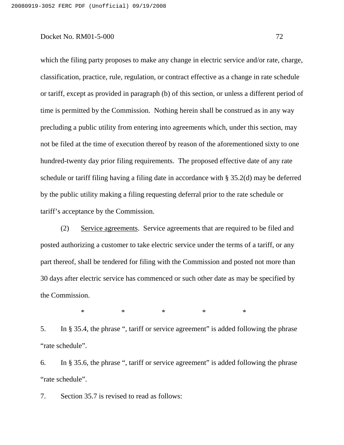which the filing party proposes to make any change in electric service and/or rate, charge, classification, practice, rule, regulation, or contract effective as a change in rate schedule or tariff, except as provided in paragraph (b) of this section, or unless a different period of time is permitted by the Commission. Nothing herein shall be construed as in any way precluding a public utility from entering into agreements which, under this section, may not be filed at the time of execution thereof by reason of the aforementioned sixty to one hundred-twenty day prior filing requirements. The proposed effective date of any rate schedule or tariff filing having a filing date in accordance with § 35.2(d) may be deferred by the public utility making a filing requesting deferral prior to the rate schedule or tariff's acceptance by the Commission.

(2) Service agreements. Service agreements that are required to be filed and posted authorizing a customer to take electric service under the terms of a tariff, or any part thereof, shall be tendered for filing with the Commission and posted not more than 30 days after electric service has commenced or such other date as may be specified by the Commission.

\* \* \* \* \*

5. In § 35.4, the phrase ", tariff or service agreement" is added following the phrase "rate schedule".

6. In § 35.6, the phrase ", tariff or service agreement" is added following the phrase "rate schedule".

7. Section 35.7 is revised to read as follows: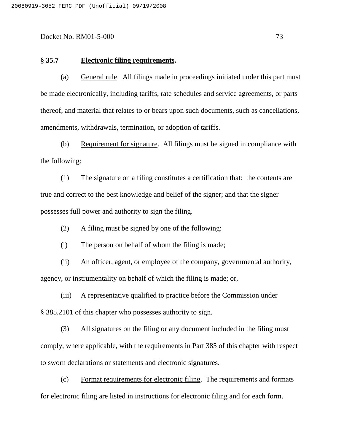#### **§ 35.7 Electronic filing requirements.**

(a) General rule. All filings made in proceedings initiated under this part must be made electronically, including tariffs, rate schedules and service agreements, or parts thereof, and material that relates to or bears upon such documents, such as cancellations, amendments, withdrawals, termination, or adoption of tariffs.

(b) Requirement for signature. All filings must be signed in compliance with the following:

(1) The signature on a filing constitutes a certification that: the contents are true and correct to the best knowledge and belief of the signer; and that the signer possesses full power and authority to sign the filing.

(2) A filing must be signed by one of the following:

(i) The person on behalf of whom the filing is made;

(ii) An officer, agent, or employee of the company, governmental authority, agency, or instrumentality on behalf of which the filing is made; or,

(iii) A representative qualified to practice before the Commission under § 385.2101 of this chapter who possesses authority to sign.

(3) All signatures on the filing or any document included in the filing must comply, where applicable, with the requirements in Part 385 of this chapter with respect to sworn declarations or statements and electronic signatures.

(c) Format requirements for electronic filing. The requirements and formats for electronic filing are listed in instructions for electronic filing and for each form.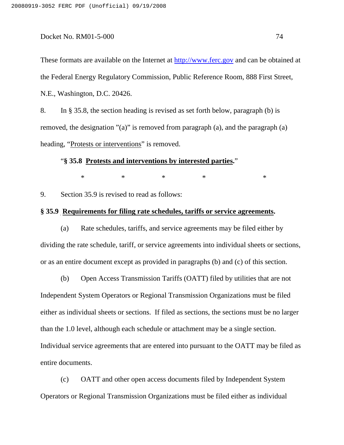These formats are available on the Internet at http://www.ferc.gov and can be obtained at the Federal Energy Regulatory Commission, Public Reference Room, 888 First Street, N.E., Washington, D.C. 20426.

8. In § 35.8, the section heading is revised as set forth below, paragraph (b) is removed, the designation "(a)" is removed from paragraph (a), and the paragraph (a) heading, "Protests or interventions" is removed.

# "**§ 35.8 Protests and interventions by interested parties.**"

 $*$  \* \* \* \* \* \*

9. Section 35.9 is revised to read as follows:

# **§ 35.9 Requirements for filing rate schedules, tariffs or service agreements.**

(a) Rate schedules, tariffs, and service agreements may be filed either by dividing the rate schedule, tariff, or service agreements into individual sheets or sections, or as an entire document except as provided in paragraphs (b) and (c) of this section.

(b) Open Access Transmission Tariffs (OATT) filed by utilities that are not Independent System Operators or Regional Transmission Organizations must be filed either as individual sheets or sections. If filed as sections, the sections must be no larger than the 1.0 level, although each schedule or attachment may be a single section. Individual service agreements that are entered into pursuant to the OATT may be filed as entire documents.

(c) OATT and other open access documents filed by Independent System Operators or Regional Transmission Organizations must be filed either as individual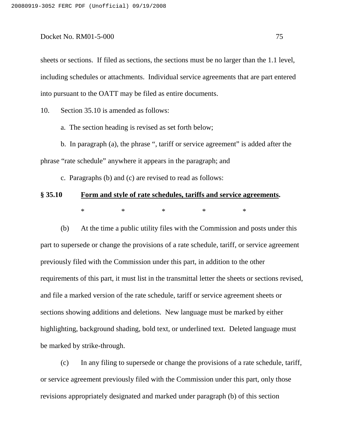sheets or sections. If filed as sections, the sections must be no larger than the 1.1 level, including schedules or attachments. Individual service agreements that are part entered into pursuant to the OATT may be filed as entire documents.

10. Section 35.10 is amended as follows:

a. The section heading is revised as set forth below;

b. In paragraph (a), the phrase ", tariff or service agreement" is added after the phrase "rate schedule" anywhere it appears in the paragraph; and

c. Paragraphs (b) and (c) are revised to read as follows:

# **§ 35.10 Form and style of rate schedules, tariffs and service agreements.** \* \* \* \* \* \* \*

(b) At the time a public utility files with the Commission and posts under this part to supersede or change the provisions of a rate schedule, tariff, or service agreement previously filed with the Commission under this part, in addition to the other requirements of this part, it must list in the transmittal letter the sheets or sections revised, and file a marked version of the rate schedule, tariff or service agreement sheets or sections showing additions and deletions. New language must be marked by either highlighting, background shading, bold text, or underlined text. Deleted language must be marked by strike-through.

(c) In any filing to supersede or change the provisions of a rate schedule, tariff, or service agreement previously filed with the Commission under this part, only those revisions appropriately designated and marked under paragraph (b) of this section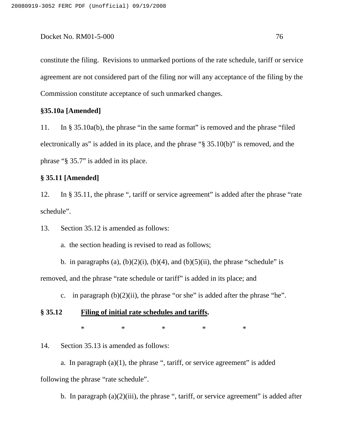constitute the filing. Revisions to unmarked portions of the rate schedule, tariff or service agreement are not considered part of the filing nor will any acceptance of the filing by the Commission constitute acceptance of such unmarked changes.

# **§35.10a [Amended]**

11. In § 35.10a(b), the phrase "in the same format" is removed and the phrase "filed electronically as" is added in its place, and the phrase "§ 35.10(b)" is removed, and the phrase "§ 35.7" is added in its place.

# **§ 35.11 [Amended]**

12. In § 35.11, the phrase ", tariff or service agreement" is added after the phrase "rate schedule".

13. Section 35.12 is amended as follows:

a. the section heading is revised to read as follows;

b. in paragraphs (a),  $(b)(2)(i)$ ,  $(b)(4)$ , and  $(b)(5)(ii)$ , the phrase "schedule" is removed, and the phrase "rate schedule or tariff" is added in its place; and

c. in paragraph  $(b)(2)(ii)$ , the phrase "or she" is added after the phrase "he".

# **§ 35.12 Filing of initial rate schedules and tariffs.**

\* \* \* \* \* \* \*

14. Section 35.13 is amended as follows:

a. In paragraph  $(a)(1)$ , the phrase ", tariff, or service agreement" is added following the phrase "rate schedule".

b. In paragraph  $(a)(2)(iii)$ , the phrase ", tariff, or service agreement" is added after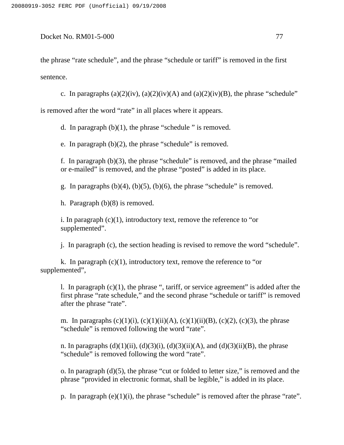the phrase "rate schedule", and the phrase "schedule or tariff" is removed in the first sentence.

c. In paragraphs (a)(2)(iv), (a)(2)(iv)(A) and (a)(2)(iv)(B), the phrase "schedule"

is removed after the word "rate" in all places where it appears.

d. In paragraph  $(b)(1)$ , the phrase "schedule" is removed.

e. In paragraph (b)(2), the phrase "schedule" is removed.

f. In paragraph (b)(3), the phrase "schedule" is removed, and the phrase "mailed or e-mailed" is removed, and the phrase "posted" is added in its place.

g. In paragraphs  $(b)(4)$ ,  $(b)(5)$ ,  $(b)(6)$ , the phrase "schedule" is removed.

h. Paragraph (b)(8) is removed.

i. In paragraph  $(c)(1)$ , introductory text, remove the reference to "or supplemented".

j. In paragraph (c), the section heading is revised to remove the word "schedule".

k. In paragraph  $(c)(1)$ , introductory text, remove the reference to "or supplemented",

l. In paragraph (c)(1), the phrase ", tariff, or service agreement" is added after the first phrase "rate schedule," and the second phrase "schedule or tariff" is removed after the phrase "rate".

m. In paragraphs  $(c)(1)(i)$ ,  $(c)(1)(ii)(A)$ ,  $(c)(1)(ii)(B)$ ,  $(c)(2)$ ,  $(c)(3)$ , the phrase "schedule" is removed following the word "rate".

n. In paragraphs  $(d)(1)(ii)$ ,  $(d)(3)(i)$ ,  $(d)(3)(ii)(A)$ , and  $(d)(3)(ii)(B)$ , the phrase "schedule" is removed following the word "rate".

o. In paragraph (d)(5), the phrase "cut or folded to letter size," is removed and the phrase "provided in electronic format, shall be legible," is added in its place.

p. In paragraph (e)(1)(i), the phrase "schedule" is removed after the phrase "rate".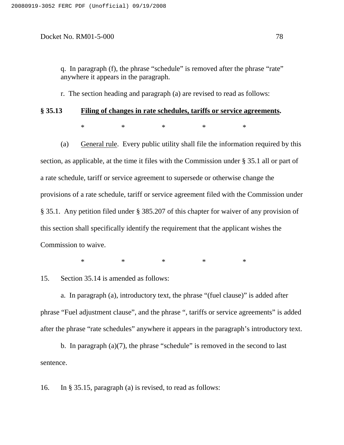q. In paragraph (f), the phrase "schedule" is removed after the phrase "rate" anywhere it appears in the paragraph.

r. The section heading and paragraph (a) are revised to read as follows:

# **§ 35.13 Filing of changes in rate schedules, tariffs or service agreements.** \* \* \* \* \* \* \*

(a) General rule. Every public utility shall file the information required by this section, as applicable, at the time it files with the Commission under § 35.1 all or part of a rate schedule, tariff or service agreement to supersede or otherwise change the provisions of a rate schedule, tariff or service agreement filed with the Commission under § 35.1. Any petition filed under § 385.207 of this chapter for waiver of any provision of this section shall specifically identify the requirement that the applicant wishes the Commission to waive.

\* \* \* \* \*

15. Section 35.14 is amended as follows:

a. In paragraph (a), introductory text, the phrase "(fuel clause)" is added after phrase "Fuel adjustment clause", and the phrase ", tariffs or service agreements" is added after the phrase "rate schedules" anywhere it appears in the paragraph's introductory text.

b. In paragraph  $(a)(7)$ , the phrase "schedule" is removed in the second to last sentence.

16. In § 35.15, paragraph (a) is revised, to read as follows: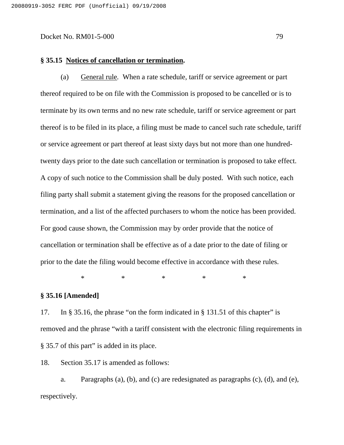#### **§ 35.15 Notices of cancellation or termination.**

(a) General rule*.* When a rate schedule, tariff or service agreement or part thereof required to be on file with the Commission is proposed to be cancelled or is to terminate by its own terms and no new rate schedule, tariff or service agreement or part thereof is to be filed in its place, a filing must be made to cancel such rate schedule, tariff or service agreement or part thereof at least sixty days but not more than one hundredtwenty days prior to the date such cancellation or termination is proposed to take effect. A copy of such notice to the Commission shall be duly posted. With such notice, each filing party shall submit a statement giving the reasons for the proposed cancellation or termination, and a list of the affected purchasers to whom the notice has been provided. For good cause shown, the Commission may by order provide that the notice of cancellation or termination shall be effective as of a date prior to the date of filing or prior to the date the filing would become effective in accordance with these rules.

\* \* \* \* \* \* \*

# **§ 35.16 [Amended]**

17. In § 35.16, the phrase "on the form indicated in § 131.51 of this chapter" is removed and the phrase "with a tariff consistent with the electronic filing requirements in § 35.7 of this part" is added in its place.

18. Section 35.17 is amended as follows:

a. Paragraphs (a), (b), and (c) are redesignated as paragraphs (c), (d), and (e), respectively.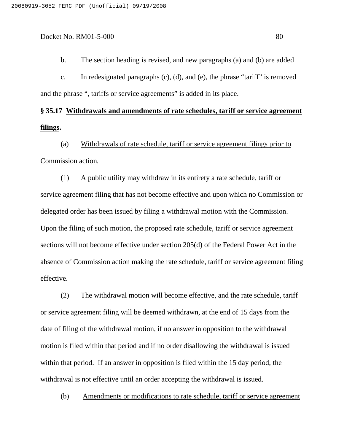c. In redesignated paragraphs (c), (d), and (e), the phrase "tariff" is removed and the phrase ", tariffs or service agreements" is added in its place.

# **§ 35.17 Withdrawals and amendments of rate schedules, tariff or service agreement filings.**

(a) Withdrawals of rate schedule, tariff or service agreement filings prior to Commission action*.*

(1) A public utility may withdraw in its entirety a rate schedule, tariff or service agreement filing that has not become effective and upon which no Commission or delegated order has been issued by filing a withdrawal motion with the Commission. Upon the filing of such motion, the proposed rate schedule, tariff or service agreement sections will not become effective under section 205(d) of the Federal Power Act in the absence of Commission action making the rate schedule, tariff or service agreement filing effective.

(2) The withdrawal motion will become effective, and the rate schedule, tariff or service agreement filing will be deemed withdrawn, at the end of 15 days from the date of filing of the withdrawal motion, if no answer in opposition to the withdrawal motion is filed within that period and if no order disallowing the withdrawal is issued within that period. If an answer in opposition is filed within the 15 day period, the withdrawal is not effective until an order accepting the withdrawal is issued.

(b) Amendments or modifications to rate schedule, tariff or service agreement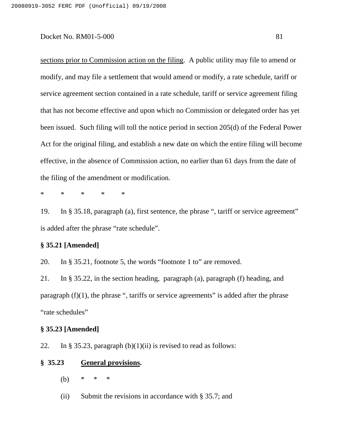sections prior to Commission action on the filing. A public utility may file to amend or modify, and may file a settlement that would amend or modify, a rate schedule, tariff or service agreement section contained in a rate schedule, tariff or service agreement filing that has not become effective and upon which no Commission or delegated order has yet been issued. Such filing will toll the notice period in section 205(d) of the Federal Power Act for the original filing, and establish a new date on which the entire filing will become effective, in the absence of Commission action, no earlier than 61 days from the date of the filing of the amendment or modification.

\* \* \* \* \*

19. In § 35.18, paragraph (a), first sentence, the phrase ", tariff or service agreement" is added after the phrase "rate schedule".

# **§ 35.21 [Amended]**

20. In § 35.21, footnote 5, the words "footnote 1 to" are removed.

21. In § 35.22, in the section heading, paragraph (a), paragraph (f) heading, and paragraph  $(f)(1)$ , the phrase ", tariffs or service agreements" is added after the phrase "rate schedules"

# **§ 35.23 [Amended]**

22. In § 35.23, paragraph  $(b)(1)(ii)$  is revised to read as follows:

#### **§ 35.23 General provisions.**

- (b) \* \* \*
- (ii) Submit the revisions in accordance with § 35.7; and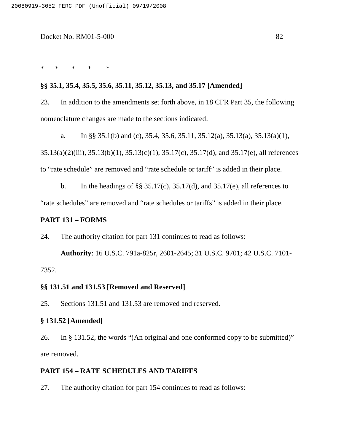\* \* \* \* \*

# **§§ 35.1, 35.4, 35.5, 35.6, 35.11, 35.12, 35.13, and 35.17 [Amended]**

23. In addition to the amendments set forth above, in 18 CFR Part 35, the following nomenclature changes are made to the sections indicated:

a. In §§ 35.1(b) and (c), 35.4, 35.6, 35.11, 35.12(a), 35.13(a), 35.13(a)(1), 35.13(a)(2)(iii), 35.13(b)(1), 35.13(c)(1), 35.17(c), 35.17(d), and 35.17(e), all references to "rate schedule" are removed and "rate schedule or tariff" is added in their place.

b. In the headings of  $\S$ § 35.17(c), 35.17(d), and 35.17(e), all references to "rate schedules" are removed and "rate schedules or tariffs" is added in their place.

# **PART 131 – FORMS**

24. The authority citation for part 131 continues to read as follows:

**Authority**: 16 U.S.C. 791a-825r, 2601-2645; 31 U.S.C. 9701; 42 U.S.C. 7101- 7352.

#### **§§ 131.51 and 131.53 [Removed and Reserved]**

25. Sections 131.51 and 131.53 are removed and reserved.

# **§ 131.52 [Amended]**

26. In § 131.52, the words "(An original and one conformed copy to be submitted)" are removed.

# **PART 154 – RATE SCHEDULES AND TARIFFS**

27. The authority citation for part 154 continues to read as follows: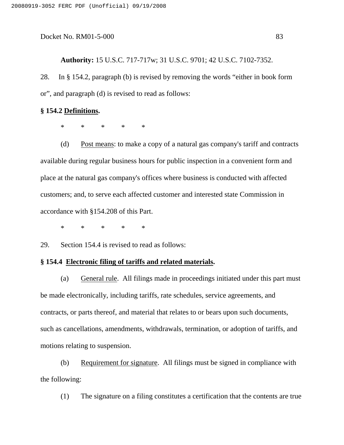**Authority:** 15 U.S.C. 717-717w; 31 U.S.C. 9701; 42 U.S.C. 7102-7352.

28. In § 154.2, paragraph (b) is revised by removing the words "either in book form or", and paragraph (d) is revised to read as follows:

#### **§ 154.2 Definitions.**

\* \* \* \* \*

(d) Post means: to make a copy of a natural gas company's tariff and contracts available during regular business hours for public inspection in a convenient form and place at the natural gas company's offices where business is conducted with affected customers; and, to serve each affected customer and interested state Commission in accordance with §154.208 of this Part.

\* \* \* \* \*

29. Section 154.4 is revised to read as follows:

#### **§ 154.4 Electronic filing of tariffs and related materials.**

(a) General rule. All filings made in proceedings initiated under this part must be made electronically, including tariffs, rate schedules, service agreements, and contracts, or parts thereof, and material that relates to or bears upon such documents, such as cancellations, amendments, withdrawals, termination, or adoption of tariffs, and motions relating to suspension.

(b) Requirement for signature. All filings must be signed in compliance with the following:

(1) The signature on a filing constitutes a certification that the contents are true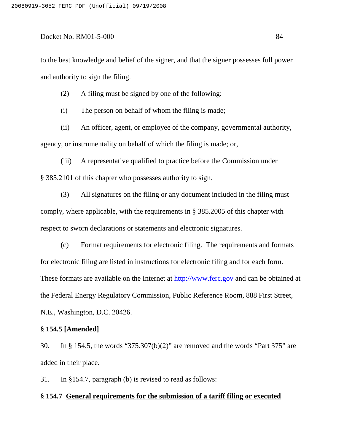to the best knowledge and belief of the signer, and that the signer possesses full power and authority to sign the filing.

(2) A filing must be signed by one of the following:

(i) The person on behalf of whom the filing is made;

(ii) An officer, agent, or employee of the company, governmental authority, agency, or instrumentality on behalf of which the filing is made; or,

(iii) A representative qualified to practice before the Commission under § 385.2101 of this chapter who possesses authority to sign.

(3) All signatures on the filing or any document included in the filing must comply, where applicable, with the requirements in § 385.2005 of this chapter with respect to sworn declarations or statements and electronic signatures.

(c) Format requirements for electronic filing. The requirements and formats for electronic filing are listed in instructions for electronic filing and for each form. These formats are available on the Internet at http://www.ferc.gov and can be obtained at the Federal Energy Regulatory Commission, Public Reference Room, 888 First Street, N.E., Washington, D.C. 20426.

# **§ 154.5 [Amended]**

30. In § 154.5, the words "375.307(b)(2)" are removed and the words "Part 375" are added in their place.

31. In §154.7, paragraph (b) is revised to read as follows:

#### **§ 154.7 General requirements for the submission of a tariff filing or executed**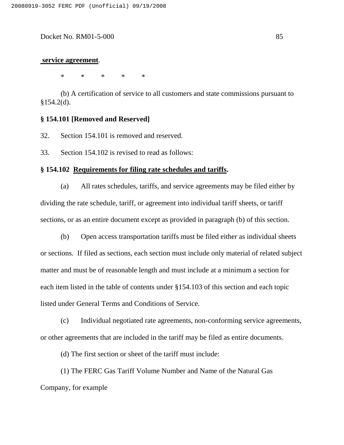#### **service agreement**.

\* \* \* \* \*

(b) A certification of service to all customers and state commissions pursuant to §154.2(d).

#### **§ 154.101 [Removed and Reserved]**

32. Section 154.101 is removed and reserved.

33. Section 154.102 is revised to read as follows:

#### **§ 154.102 Requirements for filing rate schedules and tariffs.**

(a) All rates schedules, tariffs, and service agreements may be filed either by dividing the rate schedule, tariff, or agreement into individual tariff sheets, or tariff sections, or as an entire document except as provided in paragraph (b) of this section.

(b) Open access transportation tariffs must be filed either as individual sheets or sections. If filed as sections, each section must include only material of related subject matter and must be of reasonable length and must include at a minimum a section for each item listed in the table of contents under §154.103 of this section and each topic listed under General Terms and Conditions of Service.

(c) Individual negotiated rate agreements, non-conforming service agreements, or other agreements that are included in the tariff may be filed as entire documents.

(d) The first section or sheet of the tariff must include:

(1) The FERC Gas Tariff Volume Number and Name of the Natural Gas Company, for example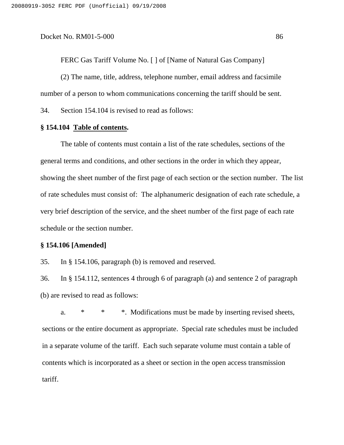FERC Gas Tariff Volume No. [ ] of [Name of Natural Gas Company]

(2) The name, title, address, telephone number, email address and facsimile number of a person to whom communications concerning the tariff should be sent.

34. Section 154.104 is revised to read as follows:

# **§ 154.104 Table of contents.**

The table of contents must contain a list of the rate schedules, sections of the general terms and conditions, and other sections in the order in which they appear, showing the sheet number of the first page of each section or the section number. The list of rate schedules must consist of: The alphanumeric designation of each rate schedule, a very brief description of the service, and the sheet number of the first page of each rate schedule or the section number.

#### **§ 154.106 [Amended]**

35. In § 154.106, paragraph (b) is removed and reserved.

36. In § 154.112, sentences 4 through 6 of paragraph (a) and sentence 2 of paragraph (b) are revised to read as follows:

a. \* \* \* Modifications must be made by inserting revised sheets, sections or the entire document as appropriate. Special rate schedules must be included in a separate volume of the tariff. Each such separate volume must contain a table of contents which is incorporated as a sheet or section in the open access transmission tariff.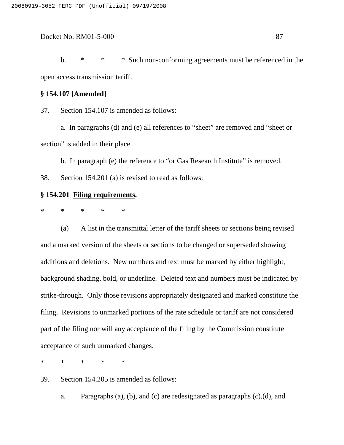b. \* \* \* Such non-conforming agreements must be referenced in the open access transmission tariff.

### **§ 154.107 [Amended]**

37. Section 154.107 is amended as follows:

a. In paragraphs (d) and (e) all references to "sheet" are removed and "sheet or section" is added in their place.

b. In paragraph (e) the reference to "or Gas Research Institute" is removed.

38. Section 154.201 (a) is revised to read as follows:

# **§ 154.201 Filing requirements.**

\* \* \* \* \*

(a) A list in the transmittal letter of the tariff sheets or sections being revised and a marked version of the sheets or sections to be changed or superseded showing additions and deletions. New numbers and text must be marked by either highlight, background shading, bold, or underline. Deleted text and numbers must be indicated by strike-through. Only those revisions appropriately designated and marked constitute the filing. Revisions to unmarked portions of the rate schedule or tariff are not considered part of the filing nor will any acceptance of the filing by the Commission constitute acceptance of such unmarked changes.

\* \* \* \* \*

39. Section 154.205 is amended as follows:

a. Paragraphs (a), (b), and (c) are redesignated as paragraphs (c),(d), and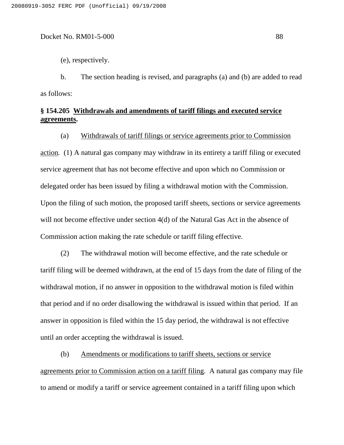(e), respectively.

b. The section heading is revised, and paragraphs (a) and (b) are added to read as follows:

# **§ 154.205 Withdrawals and amendments of tariff filings and executed service agreements.**

(a) Withdrawals of tariff filings or service agreements prior to Commission action*.* (1) A natural gas company may withdraw in its entirety a tariff filing or executed service agreement that has not become effective and upon which no Commission or delegated order has been issued by filing a withdrawal motion with the Commission. Upon the filing of such motion, the proposed tariff sheets, sections or service agreements will not become effective under section 4(d) of the Natural Gas Act in the absence of Commission action making the rate schedule or tariff filing effective.

(2) The withdrawal motion will become effective, and the rate schedule or tariff filing will be deemed withdrawn, at the end of 15 days from the date of filing of the withdrawal motion, if no answer in opposition to the withdrawal motion is filed within that period and if no order disallowing the withdrawal is issued within that period. If an answer in opposition is filed within the 15 day period, the withdrawal is not effective until an order accepting the withdrawal is issued.

(b) Amendments or modifications to tariff sheets, sections or service agreements prior to Commission action on a tariff filing. A natural gas company may file to amend or modify a tariff or service agreement contained in a tariff filing upon which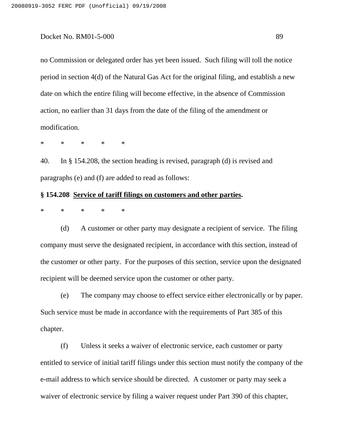no Commission or delegated order has yet been issued. Such filing will toll the notice period in section 4(d) of the Natural Gas Act for the original filing, and establish a new date on which the entire filing will become effective, in the absence of Commission action, no earlier than 31 days from the date of the filing of the amendment or modification.

\* \* \* \* \*

40. In § 154.208, the section heading is revised, paragraph (d) is revised and paragraphs (e) and (f) are added to read as follows:

# **§ 154.208 Service of tariff filings on customers and other parties.**

\* \* \* \* \*

(d) A customer or other party may designate a recipient of service. The filing company must serve the designated recipient, in accordance with this section, instead of the customer or other party. For the purposes of this section, service upon the designated recipient will be deemed service upon the customer or other party.

(e) The company may choose to effect service either electronically or by paper. Such service must be made in accordance with the requirements of Part 385 of this chapter.

(f) Unless it seeks a waiver of electronic service, each customer or party entitled to service of initial tariff filings under this section must notify the company of the e-mail address to which service should be directed. A customer or party may seek a waiver of electronic service by filing a waiver request under Part 390 of this chapter,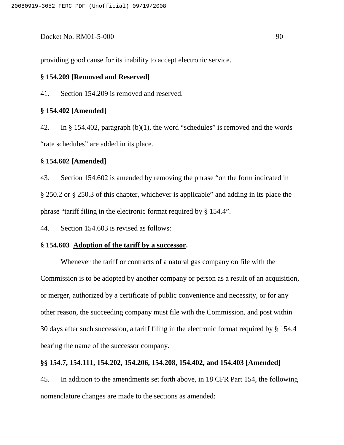providing good cause for its inability to accept electronic service.

#### **§ 154.209 [Removed and Reserved]**

41. Section 154.209 is removed and reserved.

#### **§ 154.402 [Amended]**

42. In § 154.402, paragraph (b)(1), the word "schedules" is removed and the words "rate schedules" are added in its place.

### **§ 154.602 [Amended]**

43. Section 154.602 is amended by removing the phrase "on the form indicated in § 250.2 or § 250.3 of this chapter, whichever is applicable" and adding in its place the phrase "tariff filing in the electronic format required by § 154.4".

44. Section 154.603 is revised as follows:

# **§ 154.603 Adoption of the tariff by a successor.**

Whenever the tariff or contracts of a natural gas company on file with the Commission is to be adopted by another company or person as a result of an acquisition, or merger, authorized by a certificate of public convenience and necessity, or for any other reason, the succeeding company must file with the Commission, and post within 30 days after such succession, a tariff filing in the electronic format required by § 154.4 bearing the name of the successor company.

#### **§§ 154.7, 154.111, 154.202, 154.206, 154.208, 154.402, and 154.403 [Amended]**

45. In addition to the amendments set forth above, in 18 CFR Part 154, the following nomenclature changes are made to the sections as amended: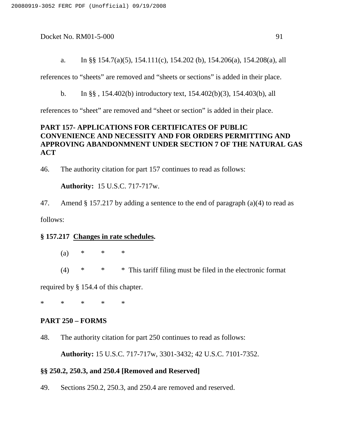a. In §§ 154.7(a)(5), 154.111(c), 154.202 (b), 154.206(a), 154.208(a), all

references to "sheets" are removed and "sheets or sections" is added in their place.

b. In §§ , 154.402(b) introductory text, 154.402(b)(3), 154.403(b), all

references to "sheet" are removed and "sheet or section" is added in their place.

# **PART 157- APPLICATIONS FOR CERTIFICATES OF PUBLIC CONVENIENCE AND NECESSITY AND FOR ORDERS PERMITTING AND APPROVING ABANDONMNENT UNDER SECTION 7 OF THE NATURAL GAS ACT**

46. The authority citation for part 157 continues to read as follows:

**Authority:** 15 U.S.C. 717-717w.

47. Amend § 157.217 by adding a sentence to the end of paragraph (a)(4) to read as

follows:

### **§ 157.217 Changes in rate schedules.**

- (a) \* \* \*
- $(4)$  \* \* \* This tariff filing must be filed in the electronic format

required by § 154.4 of this chapter.

\* \* \* \* \*

# **PART 250 – FORMS**

48. The authority citation for part 250 continues to read as follows:

**Authority:** 15 U.S.C. 717-717w, 3301-3432; 42 U.S.C. 7101-7352.

# **§§ 250.2, 250.3, and 250.4 [Removed and Reserved]**

49. Sections 250.2, 250.3, and 250.4 are removed and reserved.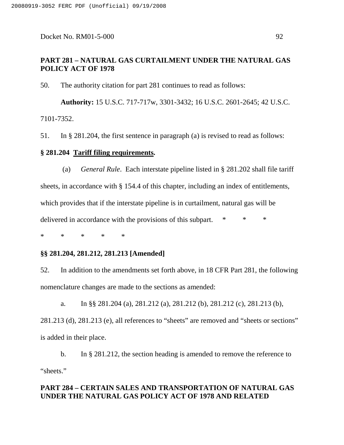# **PART 281 – NATURAL GAS CURTAILMENT UNDER THE NATURAL GAS POLICY ACT OF 1978**

50. The authority citation for part 281 continues to read as follows:

**Authority:** 15 U.S.C. 717-717w, 3301-3432; 16 U.S.C. 2601-2645; 42 U.S.C. 7101-7352.

51. In § 281.204, the first sentence in paragraph (a) is revised to read as follows:

# **§ 281.204 Tariff filing requirements.**

(a) *General Rule*. Each interstate pipeline listed in § 281.202 shall file tariff sheets, in accordance with § 154.4 of this chapter, including an index of entitlements, which provides that if the interstate pipeline is in curtailment, natural gas will be delivered in accordance with the provisions of this subpart. \* \* \*

\* \* \* \* \*

# **§§ 281.204, 281.212, 281.213 [Amended]**

52. In addition to the amendments set forth above, in 18 CFR Part 281, the following nomenclature changes are made to the sections as amended:

a. In §§ 281.204 (a), 281.212 (a), 281.212 (b), 281.212 (c), 281.213 (b), 281.213 (d), 281.213 (e), all references to "sheets" are removed and "sheets or sections" is added in their place.

b. In § 281.212, the section heading is amended to remove the reference to "sheets."

# **PART 284 – CERTAIN SALES AND TRANSPORTATION OF NATURAL GAS UNDER THE NATURAL GAS POLICY ACT OF 1978 AND RELATED**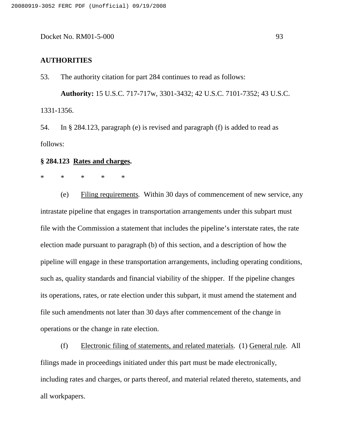#### **AUTHORITIES**

53. The authority citation for part 284 continues to read as follows:

**Authority:** 15 U.S.C. 717-717w, 3301-3432; 42 U.S.C. 7101-7352; 43 U.S.C. 1331-1356.

54. In § 284.123, paragraph (e) is revised and paragraph (f) is added to read as follows:

#### **§ 284.123 Rates and charges.**

# \* \* \* \* \*

(e) Filing requirements*.* Within 30 days of commencement of new service, any intrastate pipeline that engages in transportation arrangements under this subpart must file with the Commission a statement that includes the pipeline's interstate rates, the rate election made pursuant to paragraph (b) of this section, and a description of how the pipeline will engage in these transportation arrangements, including operating conditions, such as, quality standards and financial viability of the shipper. If the pipeline changes its operations, rates, or rate election under this subpart, it must amend the statement and file such amendments not later than 30 days after commencement of the change in operations or the change in rate election.

(f) Electronic filing of statements, and related materials. (1) General rule. All filings made in proceedings initiated under this part must be made electronically, including rates and charges, or parts thereof, and material related thereto, statements, and all workpapers.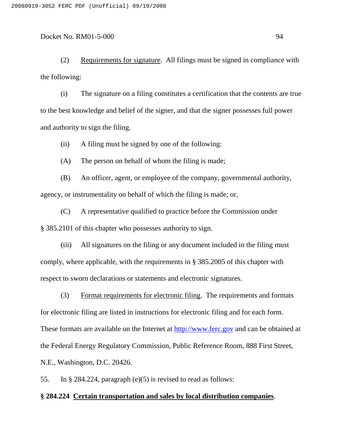(2) Requirements for signature. All filings must be signed in compliance with the following:

(i) The signature on a filing constitutes a certification that the contents are true to the best knowledge and belief of the signer, and that the signer possesses full power and authority to sign the filing.

(ii) A filing must be signed by one of the following:

(A) The person on behalf of whom the filing is made;

(B) An officer, agent, or employee of the company, governmental authority, agency, or instrumentality on behalf of which the filing is made; or,

(C) A representative qualified to practice before the Commission under § 385.2101 of this chapter who possesses authority to sign.

(iii) All signatures on the filing or any document included in the filing must comply, where applicable, with the requirements in § 385.2005 of this chapter with respect to sworn declarations or statements and electronic signatures.

(3) Format requirements for electronic filing. The requirements and formats for electronic filing are listed in instructions for electronic filing and for each form. These formats are available on the Internet at http://www.ferc.gov and can be obtained at the Federal Energy Regulatory Commission, Public Reference Room, 888 First Street, N.E., Washington, D.C. 20426.

55. In § 284.224, paragraph (e)(5) is revised to read as follows:

# **§ 284.224 Certain transportation and sales by local distribution companies**.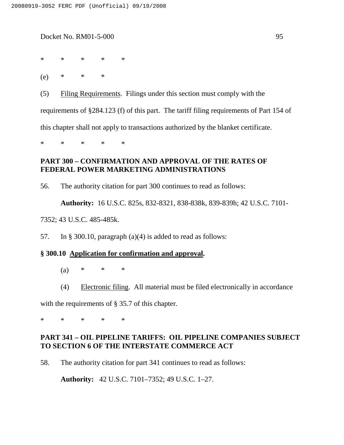\* \* \* \* \*

(e) \* \* \*

(5) Filing Requirements. Filings under this section must comply with the requirements of §284.123 (f) of this part. The tariff filing requirements of Part 154 of this chapter shall not apply to transactions authorized by the blanket certificate.

\* \* \* \* \*

# **PART 300 – CONFIRMATION AND APPROVAL OF THE RATES OF FEDERAL POWER MARKETING ADMINISTRATIONS**

56. The authority citation for part 300 continues to read as follows:

**Authority:** 16 U.S.C. 825s, 832-8321, 838-838k, 839-839h; 42 U.S.C. 7101-

7352; 43 U.S.C. 485-485k.

57. In § 300.10, paragraph (a)(4) is added to read as follows:

#### **§ 300.10 Application for confirmation and approval.**

(a) \* \* \*

(4) Electronic filing. All material must be filed electronically in accordance

with the requirements of § 35.7 of this chapter.

\* \* \* \* \*

# **PART 341 – OIL PIPELINE TARIFFS: OIL PIPELINE COMPANIES SUBJECT TO SECTION 6 OF THE INTERSTATE COMMERCE ACT**

58. The authority citation for part 341 continues to read as follows:

**Authority:** 42 U.S.C. 7101–7352; 49 U.S.C. 1–27.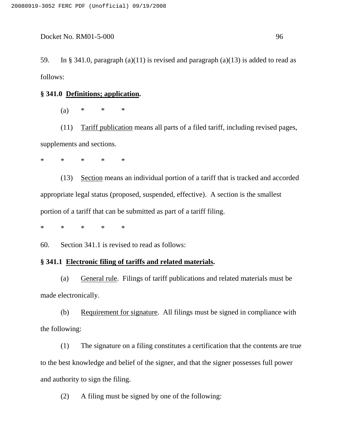59. In § 341.0, paragraph (a)(11) is revised and paragraph (a)(13) is added to read as follows:

#### **§ 341.0 Definitions; application.**

(a) \* \* \*

(11) Tariff publication means all parts of a filed tariff, including revised pages, supplements and sections.

\* \* \* \* \*

(13) Section means an individual portion of a tariff that is tracked and accorded appropriate legal status (proposed, suspended, effective). A section is the smallest portion of a tariff that can be submitted as part of a tariff filing.

\* \* \* \* \*

60. Section 341.1 is revised to read as follows:

# **§ 341.1 Electronic filing of tariffs and related materials.**

(a) General rule. Filings of tariff publications and related materials must be made electronically.

(b) Requirement for signature. All filings must be signed in compliance with the following:

(1) The signature on a filing constitutes a certification that the contents are true to the best knowledge and belief of the signer, and that the signer possesses full power and authority to sign the filing.

(2) A filing must be signed by one of the following: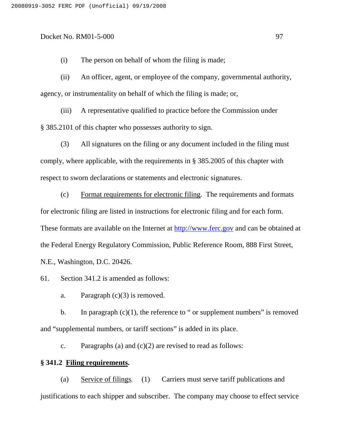(i) The person on behalf of whom the filing is made;

(ii) An officer, agent, or employee of the company, governmental authority, agency, or instrumentality on behalf of which the filing is made; or,

(iii) A representative qualified to practice before the Commission under § 385.2101 of this chapter who possesses authority to sign.

(3) All signatures on the filing or any document included in the filing must comply, where applicable, with the requirements in § 385.2005 of this chapter with respect to sworn declarations or statements and electronic signatures.

(c) Format requirements for electronic filing. The requirements and formats for electronic filing are listed in instructions for electronic filing and for each form. These formats are available on the Internet at http://www.ferc.gov and can be obtained at the Federal Energy Regulatory Commission, Public Reference Room, 888 First Street, N.E., Washington, D.C. 20426.

61. Section 341.2 is amended as follows:

a. Paragraph  $(c)(3)$  is removed.

b. In paragraph  $(c)(1)$ , the reference to " or supplement numbers" is removed and "supplemental numbers, or tariff sections" is added in its place.

c. Paragraphs (a) and  $(c)(2)$  are revised to read as follows:

# **§ 341.2 Filing requirements.**

(a) Service of filings*.* (1) Carriers must serve tariff publications and justifications to each shipper and subscriber. The company may choose to effect service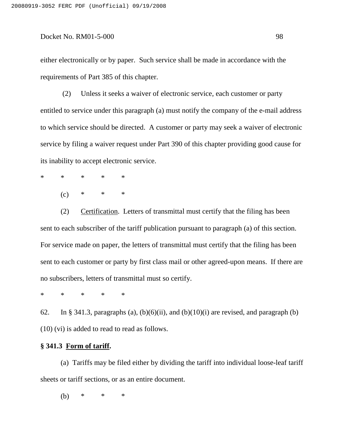either electronically or by paper. Such service shall be made in accordance with the requirements of Part 385 of this chapter.

(2) Unless it seeks a waiver of electronic service, each customer or party entitled to service under this paragraph (a) must notify the company of the e-mail address to which service should be directed. A customer or party may seek a waiver of electronic service by filing a waiver request under Part 390 of this chapter providing good cause for its inability to accept electronic service.

- \* \* \* \* \*
	- $(c)$  \* \* \*

(2) Certification. Letters of transmittal must certify that the filing has been sent to each subscriber of the tariff publication pursuant to paragraph (a) of this section. For service made on paper, the letters of transmittal must certify that the filing has been sent to each customer or party by first class mail or other agreed-upon means. If there are no subscribers, letters of transmittal must so certify.

\* \* \* \* \*

62. In § 341.3, paragraphs (a),  $(b)(6)(ii)$ , and  $(b)(10)(i)$  are revised, and paragraph (b) (10) (vi) is added to read to read as follows.

### **§ 341.3 Form of tariff.**

(a) Tariffs may be filed either by dividing the tariff into individual loose-leaf tariff sheets or tariff sections, or as an entire document.

(b) \* \* \*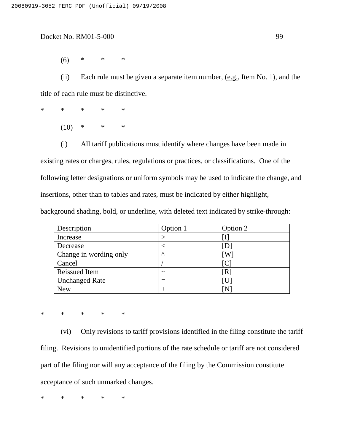(6) \* \* \*

(ii) Each rule must be given a separate item number,  $(e.g., Item No. 1)$ , and the title of each rule must be distinctive.

\* \* \* \* \*

 $(10)$  \* \* \*

(i) All tariff publications must identify where changes have been made in

existing rates or charges, rules, regulations or practices, or classifications. One of the following letter designations or uniform symbols may be used to indicate the change, and insertions, other than to tables and rates, must be indicated by either highlight,

background shading, bold, or underline, with deleted text indicated by strike-through:

| Description            | Option 1              | Option 2 |
|------------------------|-----------------------|----------|
| Increase               |                       | 1        |
| Decrease               |                       |          |
| Change in wording only | $\wedge$              | W        |
| Cancel                 |                       |          |
| <b>Reissued Item</b>   | $\tilde{\phantom{a}}$ | ſR       |
| <b>Unchanged Rate</b>  |                       |          |
| <b>New</b>             | $\, +$                | ΙN       |

\* \* \* \* \*

(vi) Only revisions to tariff provisions identified in the filing constitute the tariff filing. Revisions to unidentified portions of the rate schedule or tariff are not considered part of the filing nor will any acceptance of the filing by the Commission constitute acceptance of such unmarked changes.

\* \* \* \* \*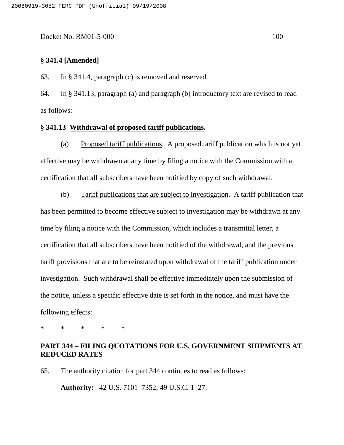# **§ 341.4 [Amended]**

63. In § 341.4, paragraph (c) is removed and reserved.

64. In § 341.13, paragraph (a) and paragraph (b) introductory text are revised to read as follows:

#### **§ 341.13 Withdrawal of proposed tariff publications.**

(a) Proposed tariff publications. A proposed tariff publication which is not yet effective may be withdrawn at any time by filing a notice with the Commission with a certification that all subscribers have been notified by copy of such withdrawal.

(b) Tariff publications that are subject to investigation. A tariff publication that has been permitted to become effective subject to investigation may be withdrawn at any time by filing a notice with the Commission, which includes a transmittal letter, a certification that all subscribers have been notified of the withdrawal, and the previous tariff provisions that are to be reinstated upon withdrawal of the tariff publication under investigation. Such withdrawal shall be effective immediately upon the submission of the notice, unless a specific effective date is set forth in the notice, and must have the following effects:

\* \* \* \* \*

# **PART 344 – FILING QUOTATIONS FOR U.S. GOVERNMENT SHIPMENTS AT REDUCED RATES**

65. The authority citation for part 344 continues to read as follows:

**Authority:** 42 U.S. 7101–7352; 49 U.S.C. 1–27.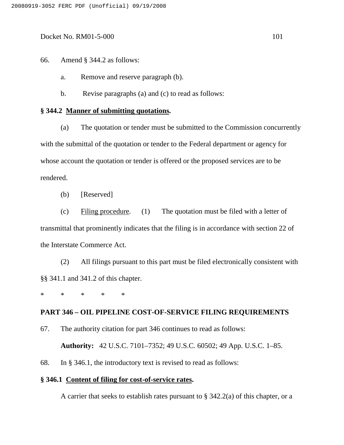66. Amend § 344.2 as follows:

a. Remove and reserve paragraph (b).

b. Revise paragraphs (a) and (c) to read as follows:

#### **§ 344.2 Manner of submitting quotations.**

(a) The quotation or tender must be submitted to the Commission concurrently with the submittal of the quotation or tender to the Federal department or agency for whose account the quotation or tender is offered or the proposed services are to be rendered.

(b) [Reserved]

(c) Filing procedure*.* (1) The quotation must be filed with a letter of transmittal that prominently indicates that the filing is in accordance with section 22 of the Interstate Commerce Act.

(2) All filings pursuant to this part must be filed electronically consistent with §§ 341.1 and 341.2 of this chapter.

\* \* \* \* \*

# **PART 346 – OIL PIPELINE COST-OF-SERVICE FILING REQUIREMENTS**

67. The authority citation for part 346 continues to read as follows:

**Authority:** 42 U.S.C. 7101–7352; 49 U.S.C. 60502; 49 App. U.S.C. 1–85.

68. In § 346.1, the introductory text is revised to read as follows:

### **§ 346.1 Content of filing for cost-of-service rates.**

A carrier that seeks to establish rates pursuant to  $\S$  342.2(a) of this chapter, or a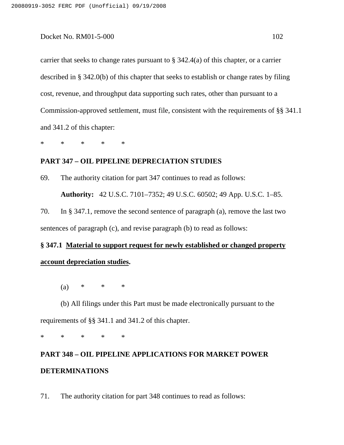carrier that seeks to change rates pursuant to § 342.4(a) of this chapter, or a carrier described in § 342.0(b) of this chapter that seeks to establish or change rates by filing cost, revenue, and throughput data supporting such rates, other than pursuant to a Commission-approved settlement, must file, consistent with the requirements of §§ 341.1 and 341.2 of this chapter:

\* \* \* \* \*

# **PART 347 – OIL PIPELINE DEPRECIATION STUDIES**

69. The authority citation for part 347 continues to read as follows:

**Authority:** 42 U.S.C. 7101–7352; 49 U.S.C. 60502; 49 App. U.S.C. 1–85.

70. In § 347.1, remove the second sentence of paragraph (a), remove the last two sentences of paragraph (c), and revise paragraph (b) to read as follows:

# **§ 347.1 Material to support request for newly established or changed property account depreciation studies.**

(a) \* \* \*

(b) All filings under this Part must be made electronically pursuant to the requirements of §§ 341.1 and 341.2 of this chapter.

\* \* \* \* \*

# **PART 348 – OIL PIPELINE APPLICATIONS FOR MARKET POWER DETERMINATIONS**

71. The authority citation for part 348 continues to read as follows: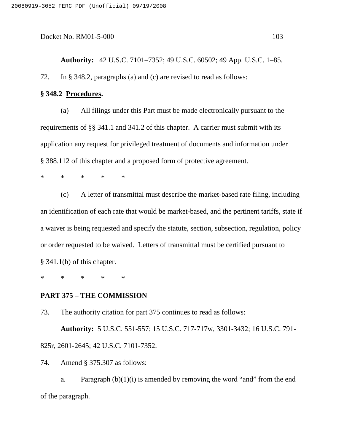#### **§ 348.2 Procedures.**

(a) All filings under this Part must be made electronically pursuant to the requirements of §§ 341.1 and 341.2 of this chapter. A carrier must submit with its application any request for privileged treatment of documents and information under § 388.112 of this chapter and a proposed form of protective agreement.

\* \* \* \* \*

(c) A letter of transmittal must describe the market-based rate filing, including an identification of each rate that would be market-based, and the pertinent tariffs, state if a waiver is being requested and specify the statute, section, subsection, regulation, policy or order requested to be waived. Letters of transmittal must be certified pursuant to § 341.1(b) of this chapter.

\* \* \* \* \*

### **PART 375 – THE COMMISSION**

73. The authority citation for part 375 continues to read as follows:

**Authority:** 5 U.S.C. 551-557; 15 U.S.C. 717-717w, 3301-3432; 16 U.S.C. 791- 825r, 2601-2645; 42 U.S.C. 7101-7352.

74. Amend § 375.307 as follows:

a. Paragraph  $(b)(1)(i)$  is amended by removing the word "and" from the end of the paragraph.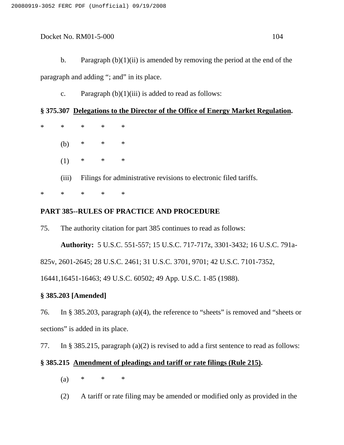b. Paragraph  $(b)(1)(ii)$  is amended by removing the period at the end of the paragraph and adding "; and" in its place.

c. Paragraph  $(b)(1)(iii)$  is added to read as follows:

# **§ 375.307 Delegations to the Director of the Office of Energy Market Regulation.**

| $\ast$ | $*$ and $*$ | $*$ $*$                                                           | $\ast$ $\cdots$ | $\ast$ |
|--------|-------------|-------------------------------------------------------------------|-----------------|--------|
|        | (b)         |                                                                   | $*$ * *         |        |
|        | (1)         |                                                                   | $*$ * *         |        |
|        | (iii)       | Filings for administrative revisions to electronic filed tariffs. |                 |        |
| ∗      | $\ast$      | $*$ and $*$                                                       | $\ast$          | ∗      |

# **PART 385--RULES OF PRACTICE AND PROCEDURE**

75. The authority citation for part 385 continues to read as follows:

**Authority:** 5 U.S.C. 551-557; 15 U.S.C. 717-717z, 3301-3432; 16 U.S.C. 791a-

825v, 2601-2645; 28 U.S.C. 2461; 31 U.S.C. 3701, 9701; 42 U.S.C. 7101-7352,

16441,16451-16463; 49 U.S.C. 60502; 49 App. U.S.C. 1-85 (1988).

# **§ 385.203 [Amended]**

76. In § 385.203, paragraph (a)(4), the reference to "sheets" is removed and "sheets or sections" is added in its place.

77. In § 385.215, paragraph (a)(2) is revised to add a first sentence to read as follows:

# **§ 385.215 Amendment of pleadings and tariff or rate filings (Rule 215).**

- (a) \* \* \*
- (2) A tariff or rate filing may be amended or modified only as provided in the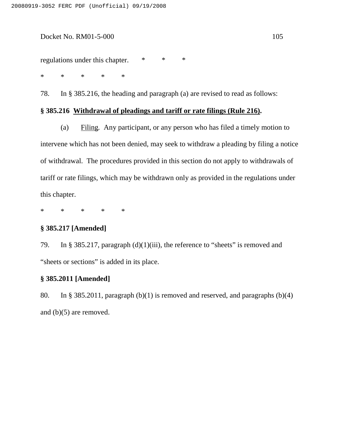#### Docket No. RM01-5-000 105

regulations under this chapter. \* \* \*

\* \* \* \* \*

78. In § 385.216, the heading and paragraph (a) are revised to read as follows:

### **§ 385.216 Withdrawal of pleadings and tariff or rate filings (Rule 216).**

(a) Filing*.* Any participant, or any person who has filed a timely motion to intervene which has not been denied, may seek to withdraw a pleading by filing a notice of withdrawal. The procedures provided in this section do not apply to withdrawals of tariff or rate filings, which may be withdrawn only as provided in the regulations under this chapter.

\* \* \* \* \*

#### **§ 385.217 [Amended]**

79. In § 385.217, paragraph (d)(1)(iii), the reference to "sheets" is removed and "sheets or sections" is added in its place.

# **§ 385.2011 [Amended]**

80. In § 385.2011, paragraph (b)(1) is removed and reserved, and paragraphs (b)(4) and (b)(5) are removed.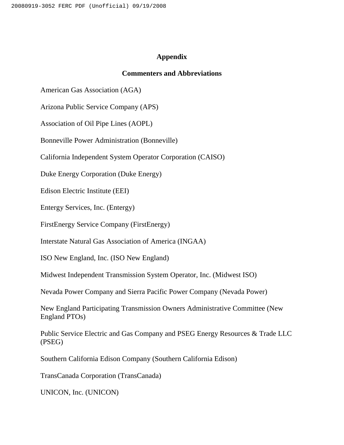# **Appendix**

### **Commenters and Abbreviations**

American Gas Association (AGA)

Arizona Public Service Company (APS)

Association of Oil Pipe Lines (AOPL)

Bonneville Power Administration (Bonneville)

California Independent System Operator Corporation (CAISO)

Duke Energy Corporation (Duke Energy)

Edison Electric Institute (EEI)

Entergy Services, Inc. (Entergy)

FirstEnergy Service Company (FirstEnergy)

Interstate Natural Gas Association of America (INGAA)

ISO New England, Inc. (ISO New England)

Midwest Independent Transmission System Operator, Inc. (Midwest ISO)

Nevada Power Company and Sierra Pacific Power Company (Nevada Power)

New England Participating Transmission Owners Administrative Committee (New England PTOs)

Public Service Electric and Gas Company and PSEG Energy Resources & Trade LLC (PSEG)

Southern California Edison Company (Southern California Edison)

TransCanada Corporation (TransCanada)

UNICON, Inc. (UNICON)